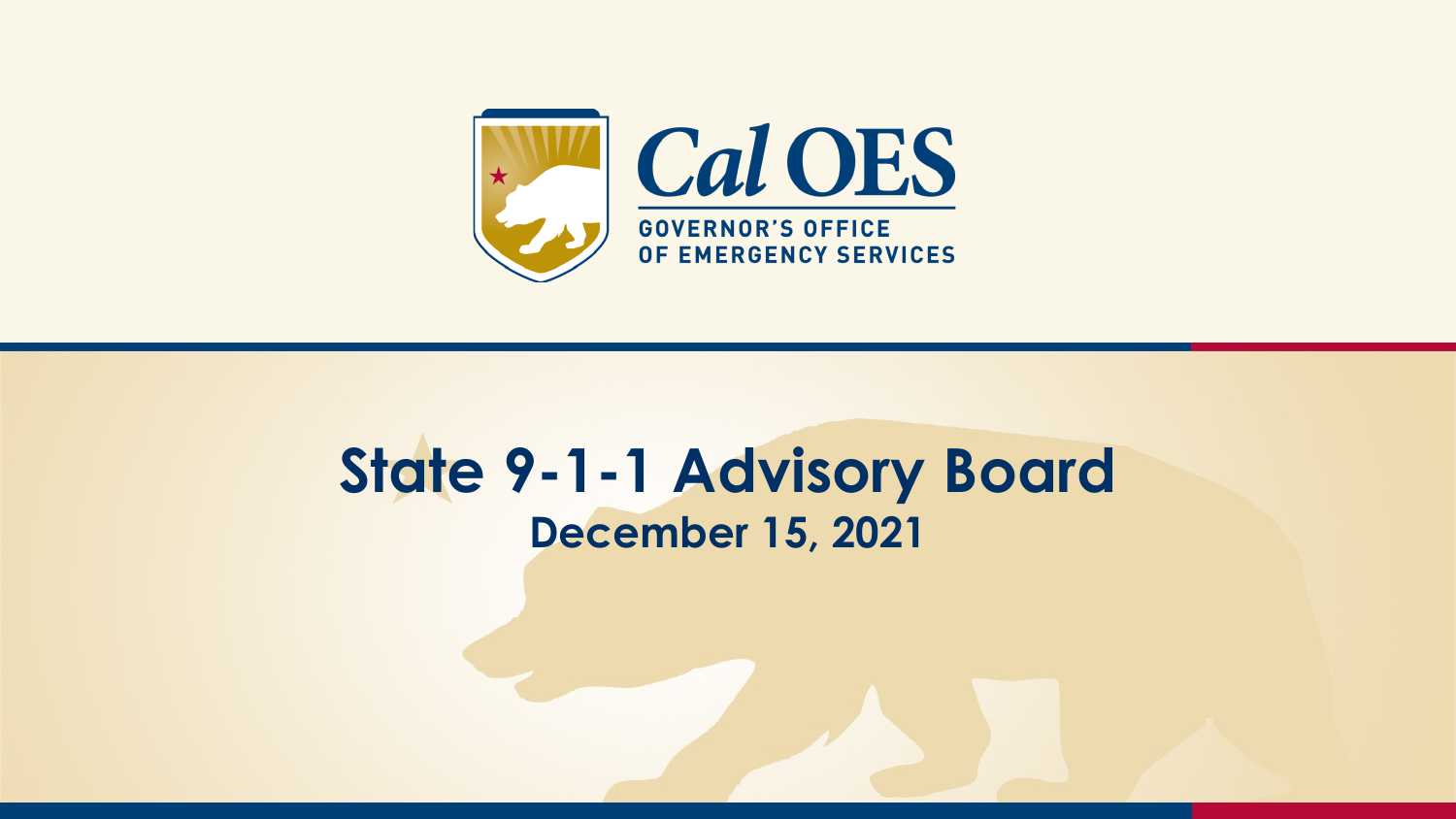

#### **State 9-1-1 Advisory Board December 15, 2021**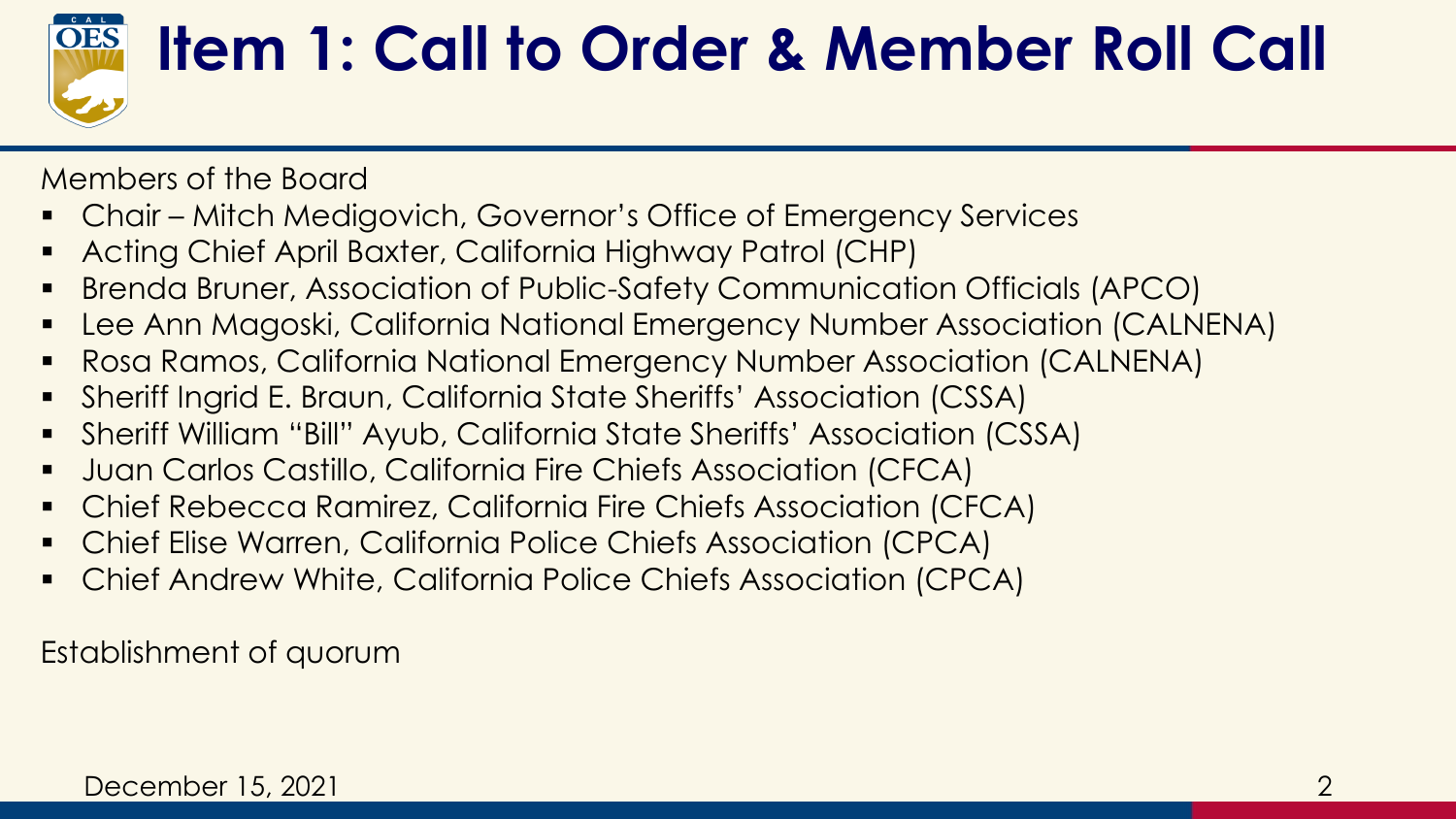

### **Item 1: Call to Order & Member Roll Call**

Members of the Board

- Chair Mitch Medigovich, Governor's Office of Emergency Services
- Acting Chief April Baxter, California Highway Patrol (CHP)
- Brenda Bruner, Association of Public-Safety Communication Officials (APCO)
- Lee Ann Magoski, California National Emergency Number Association (CALNENA)
- Rosa Ramos, California National Emergency Number Association (CALNENA)
- Sheriff Ingrid E. Braun, California State Sheriffs' Association (CSSA)
- Sheriff William "Bill" Ayub, California State Sheriffs' Association (CSSA)
- Juan Carlos Castillo, California Fire Chiefs Association (CFCA)
- Chief Rebecca Ramirez, California Fire Chiefs Association (CFCA)
- Chief Elise Warren, California Police Chiefs Association (CPCA)
- Chief Andrew White, California Police Chiefs Association (CPCA)

Establishment of quorum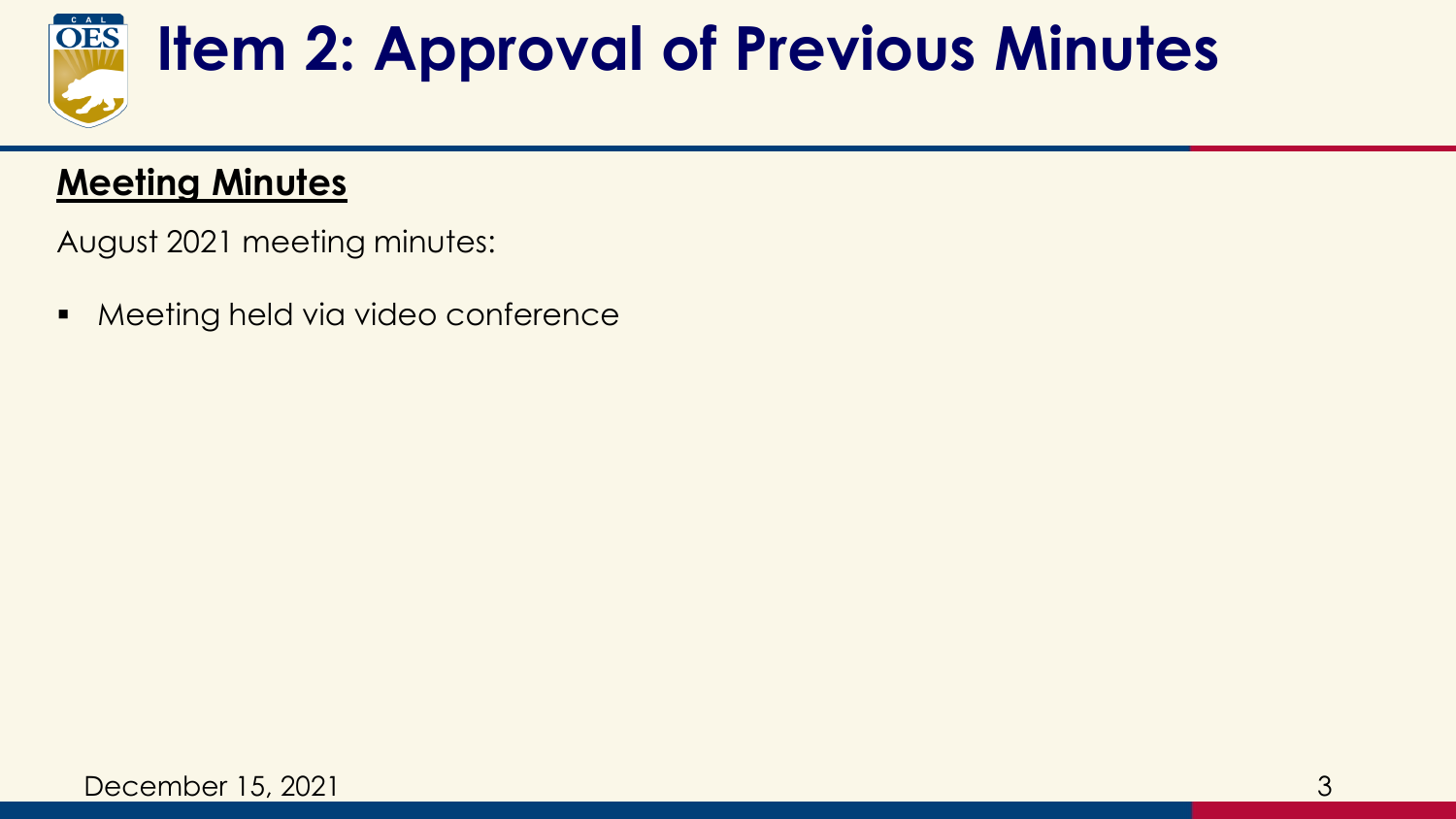

# **Item 2: Approval of Previous Minutes**

#### **Meeting Minutes**

August 2021 meeting minutes:

■ Meeting held via video conference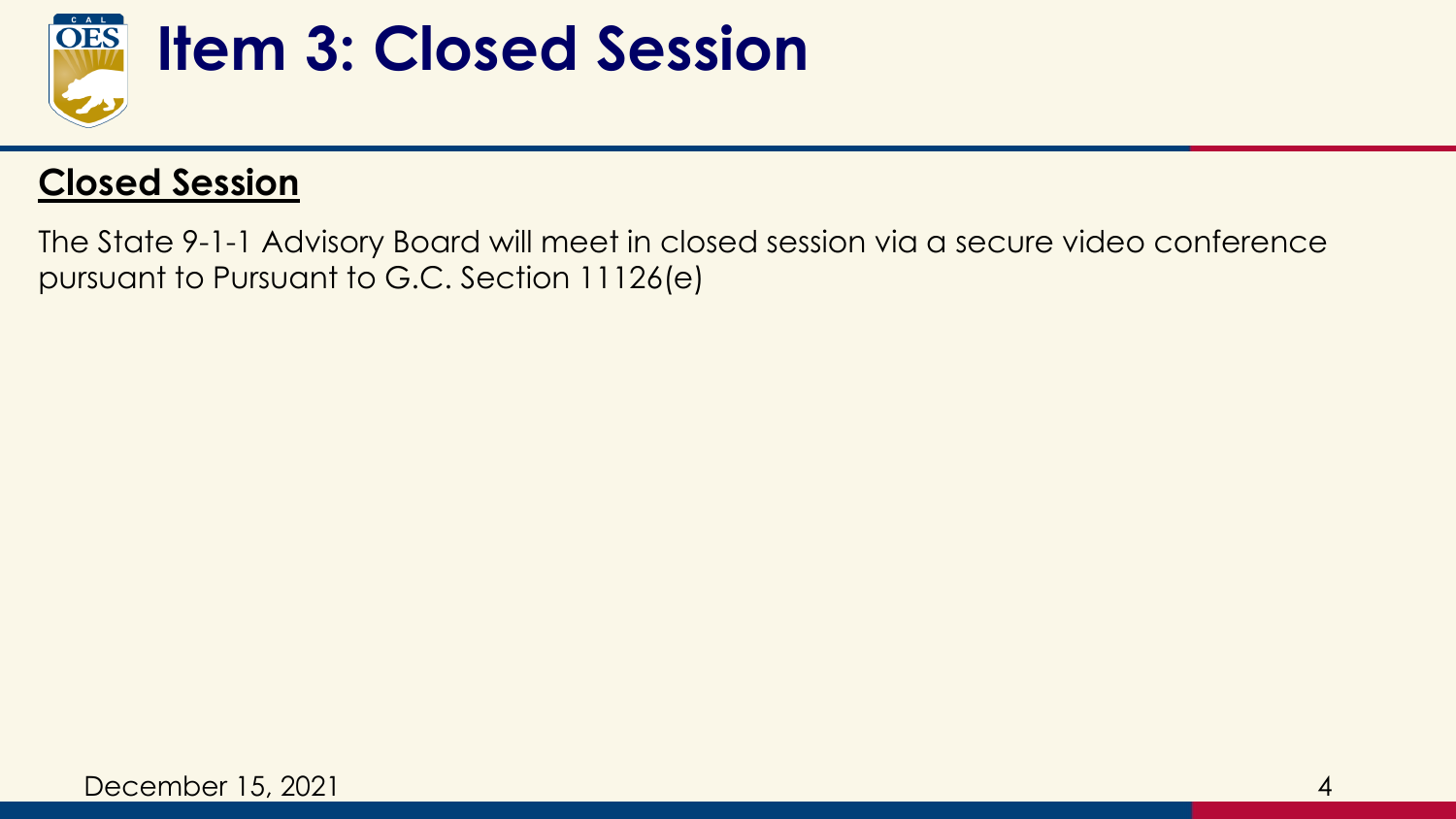

#### **Item 3: Closed Session**

#### **Closed Session**

The State 9-1-1 Advisory Board will meet in closed session via a secure video conference pursuant to Pursuant to G.C. Section 11126(e)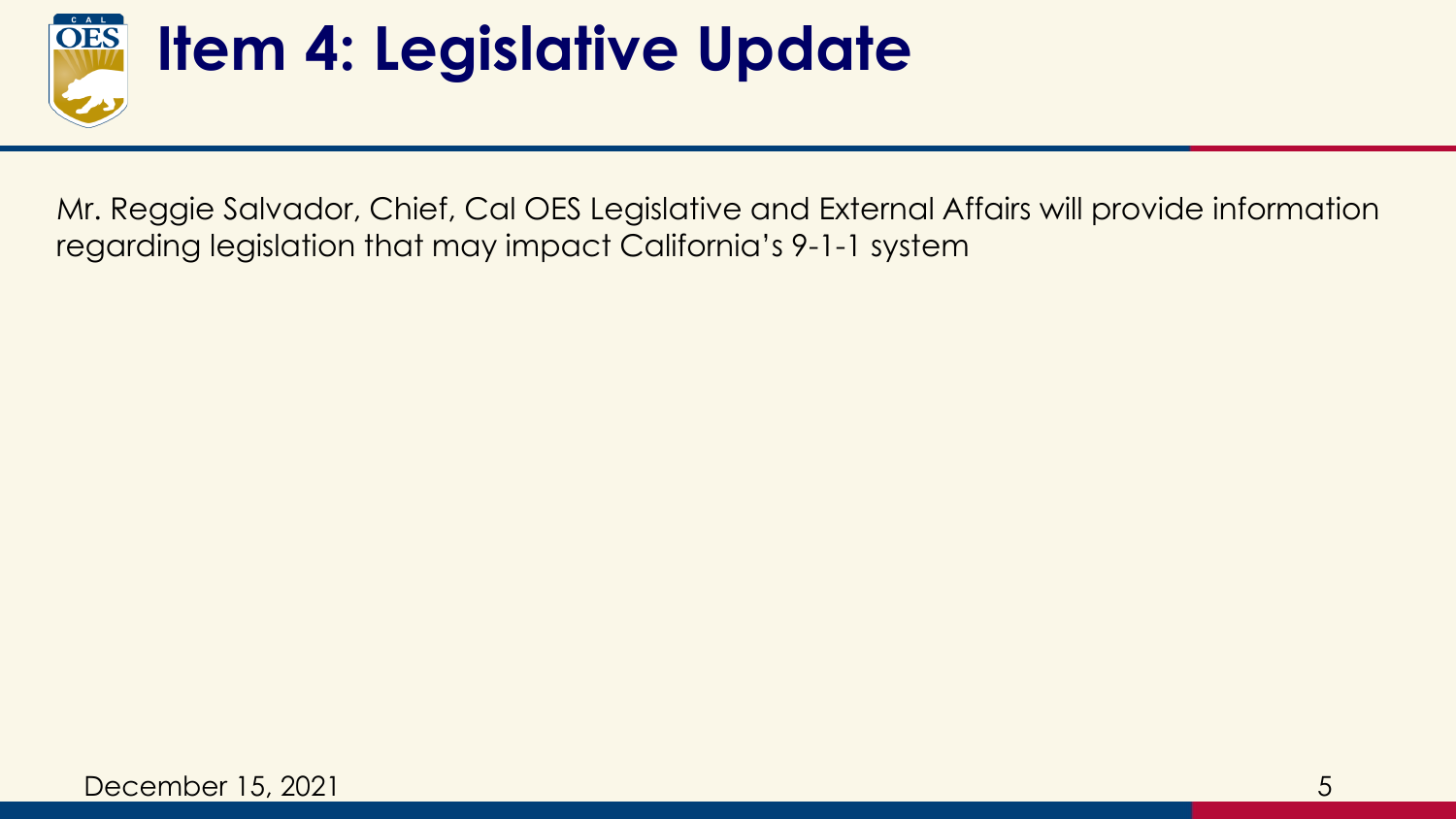

### **Item 4: Legislative Update**

Mr. Reggie Salvador, Chief, Cal OES Legislative and External Affairs will provide information regarding legislation that may impact California's 9-1-1 system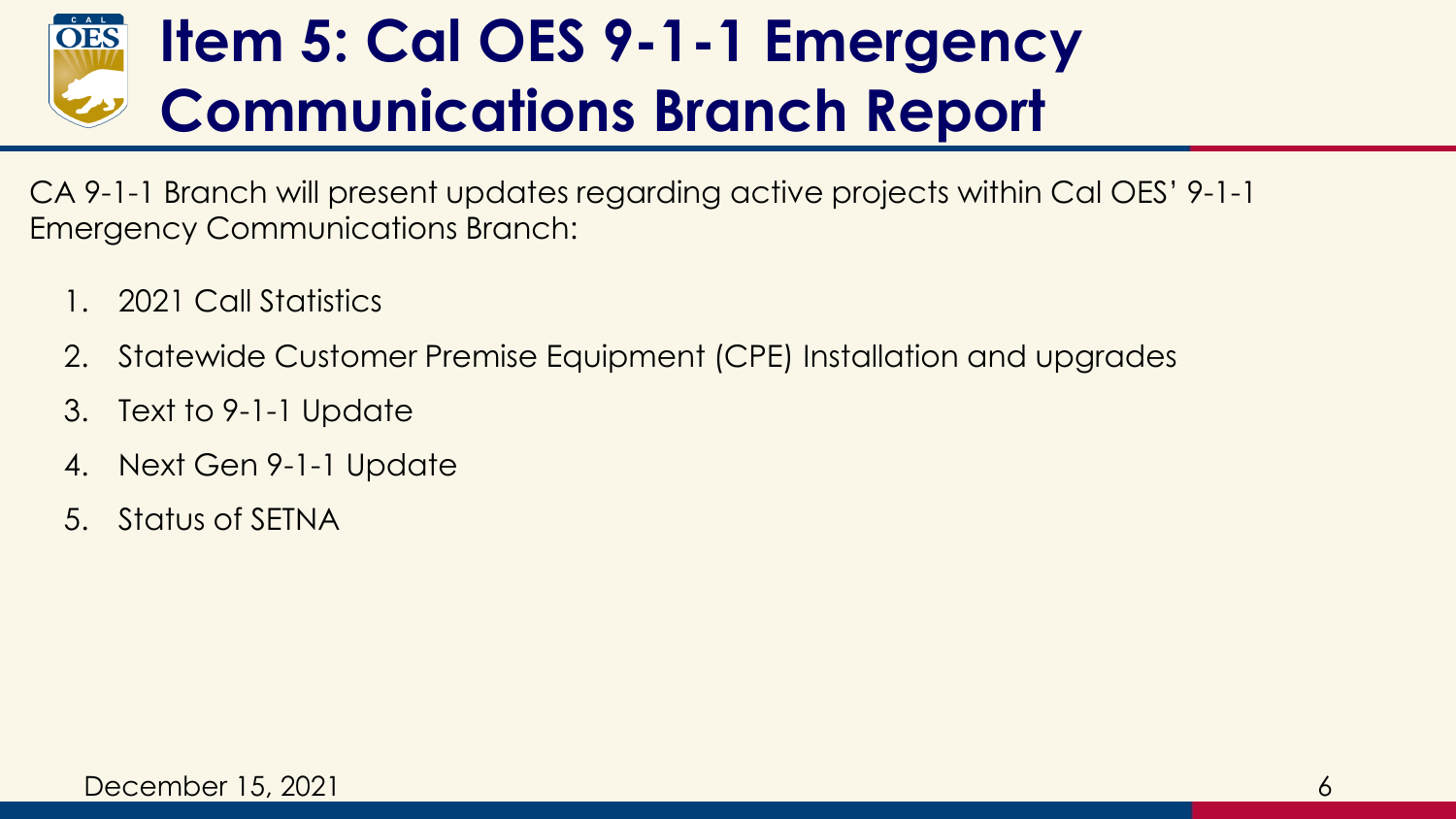#### **Item 5: Cal OES 9-1-1 Emergency OES Communications Branch Report**

CA 9-1-1 Branch will present updates regarding active projects within Cal OES' 9-1-1 Emergency Communications Branch:

- 1. 2021 Call Statistics
- 2. Statewide Customer Premise Equipment (CPE) Installation and upgrades
- 3. Text to 9-1-1 Update
- 4. Next Gen 9-1-1 Update
- 5. Status of SETNA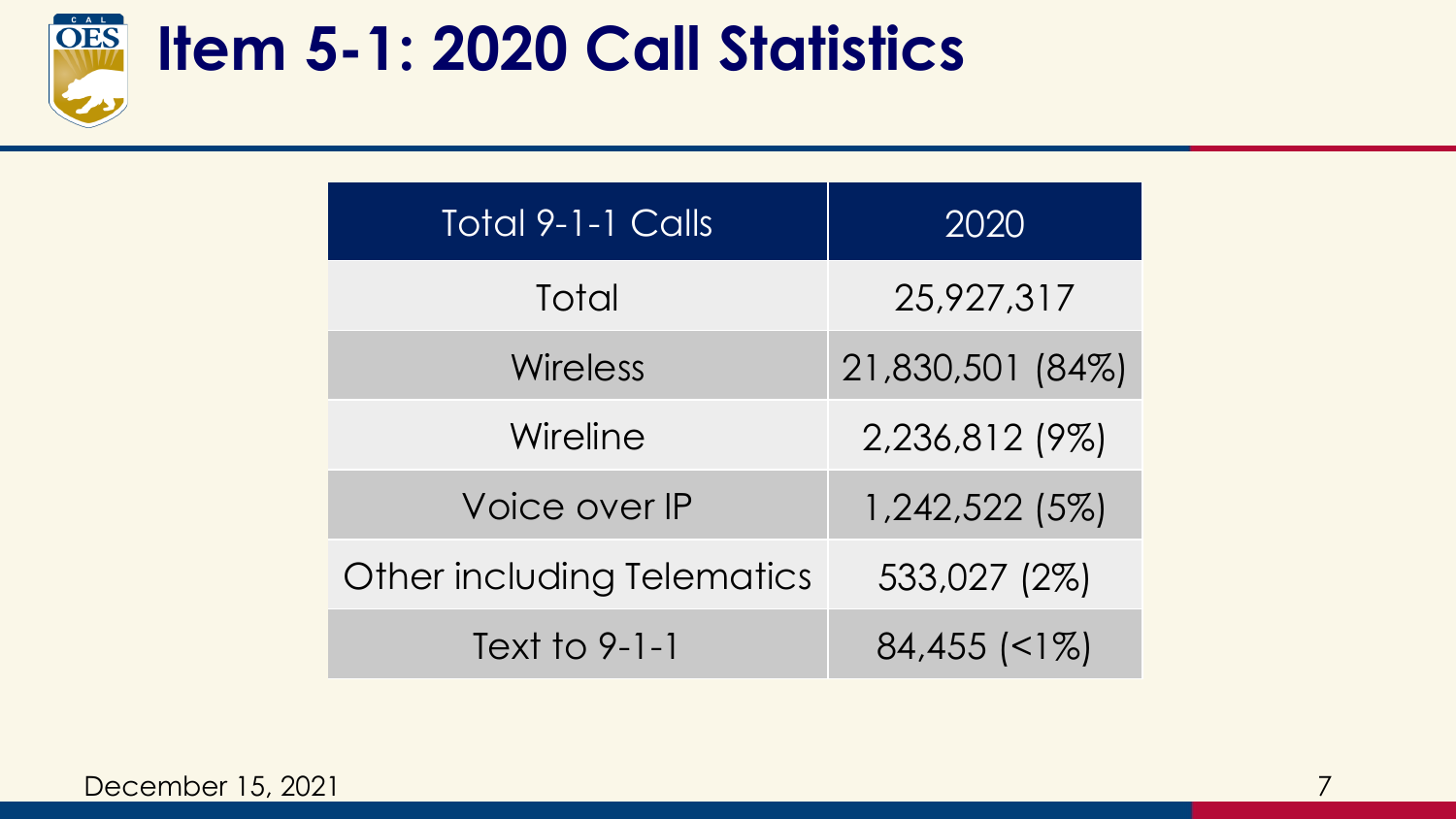

#### **Item 5-1: 2020 Call Statistics**

| <b>Total 9-1-1 Calls</b>          | 2020             |
|-----------------------------------|------------------|
| Total                             | 25,927,317       |
| Wireless                          | 21,830,501 (84%) |
| Wireline                          | 2,236,812 (9%)   |
| Voice over IP                     | 1,242,522 (5%)   |
| <b>Other including Telematics</b> | 533,027 (2%)     |
| Text to 9-1-1                     | $84,455$ (<1%)   |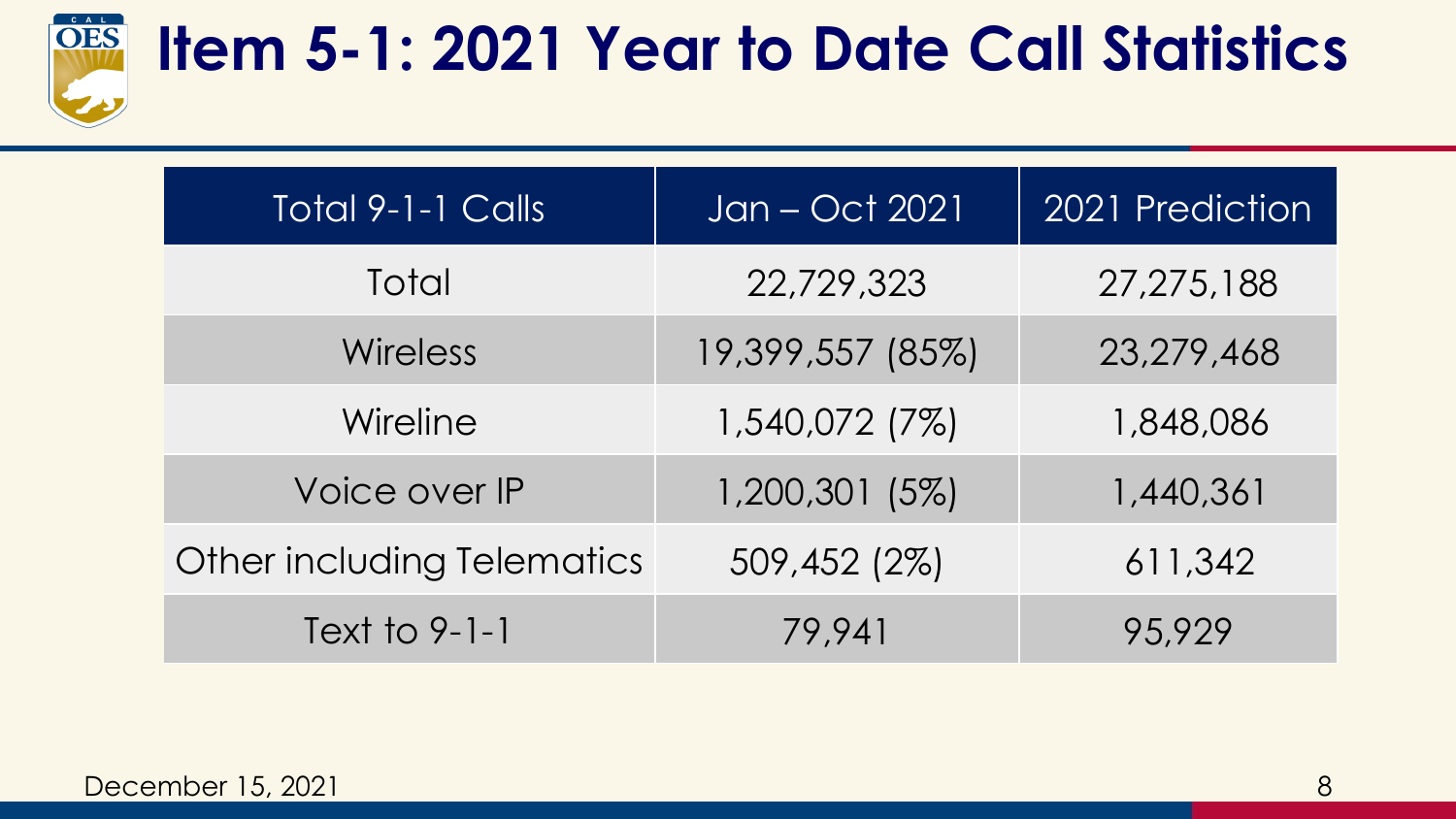

#### **Item 5-1: 2021 Year to Date Call Statistics**

| Total 9-1-1 Calls          | Jan - Oct 2021   | 2021 Prediction |
|----------------------------|------------------|-----------------|
| Total                      | 22,729,323       | 27, 275, 188    |
| <b>Wireless</b>            | 19,399,557 (85%) | 23,279,468      |
| Wireline                   | 1,540,072 (7%)   | 1,848,086       |
| Voice over IP              | 1,200,301 (5%)   | 1,440,361       |
| Other including Telematics | 509,452 (2%)     | 611,342         |
| Text to 9-1-1              | 79,941           | 95,929          |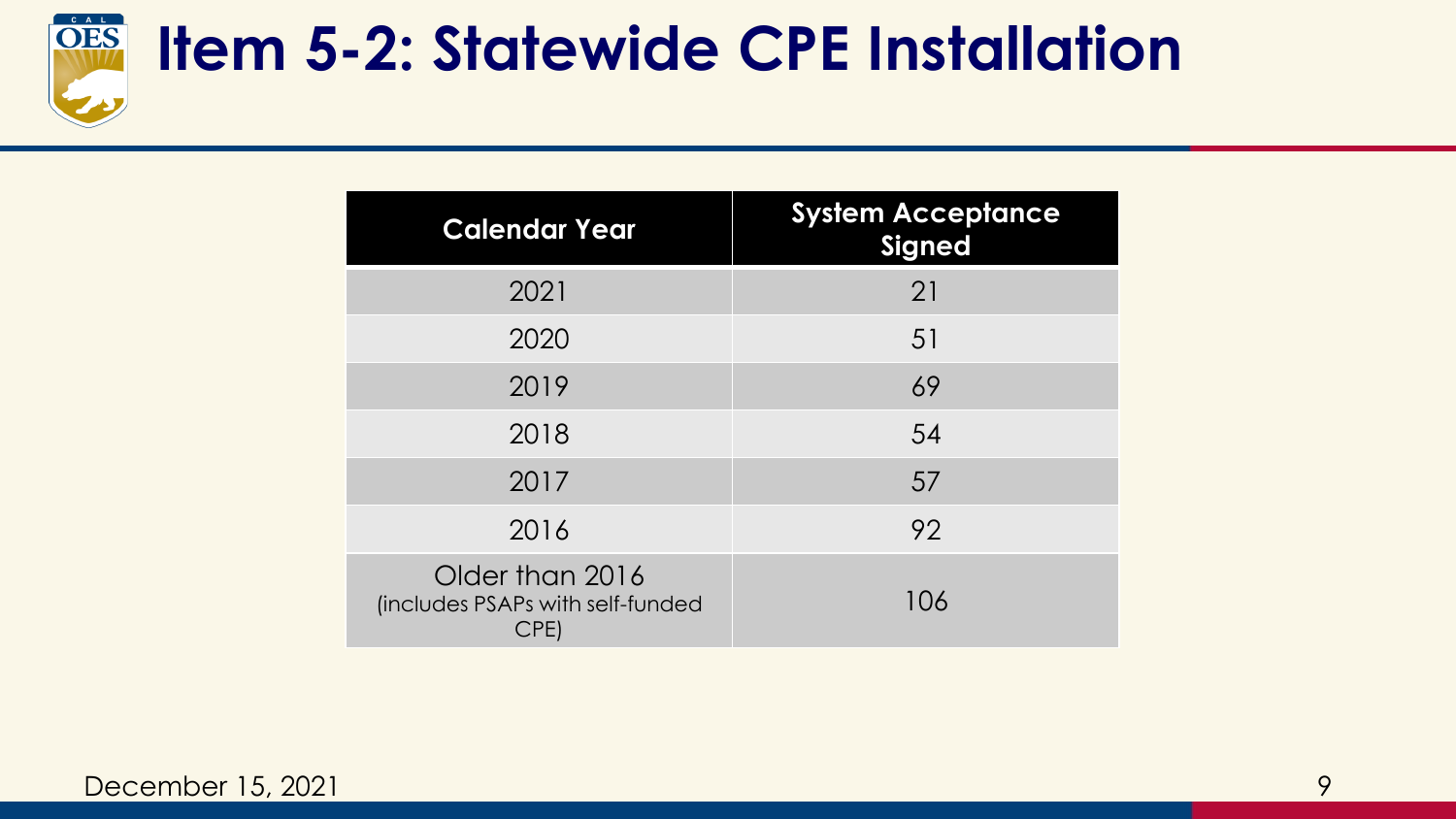

#### **Item 5-2: Statewide CPE Installation**

| <b>Calendar Year</b>                                        | <b>System Acceptance</b><br><b>Signed</b> |
|-------------------------------------------------------------|-------------------------------------------|
| 2021                                                        | 21                                        |
| 2020                                                        | 51                                        |
| 2019                                                        | 69                                        |
| 2018                                                        | 54                                        |
| 2017                                                        | 57                                        |
| 2016                                                        | 92                                        |
| Older than 2016<br>(includes PSAPs with self-funded<br>CPE) | 106                                       |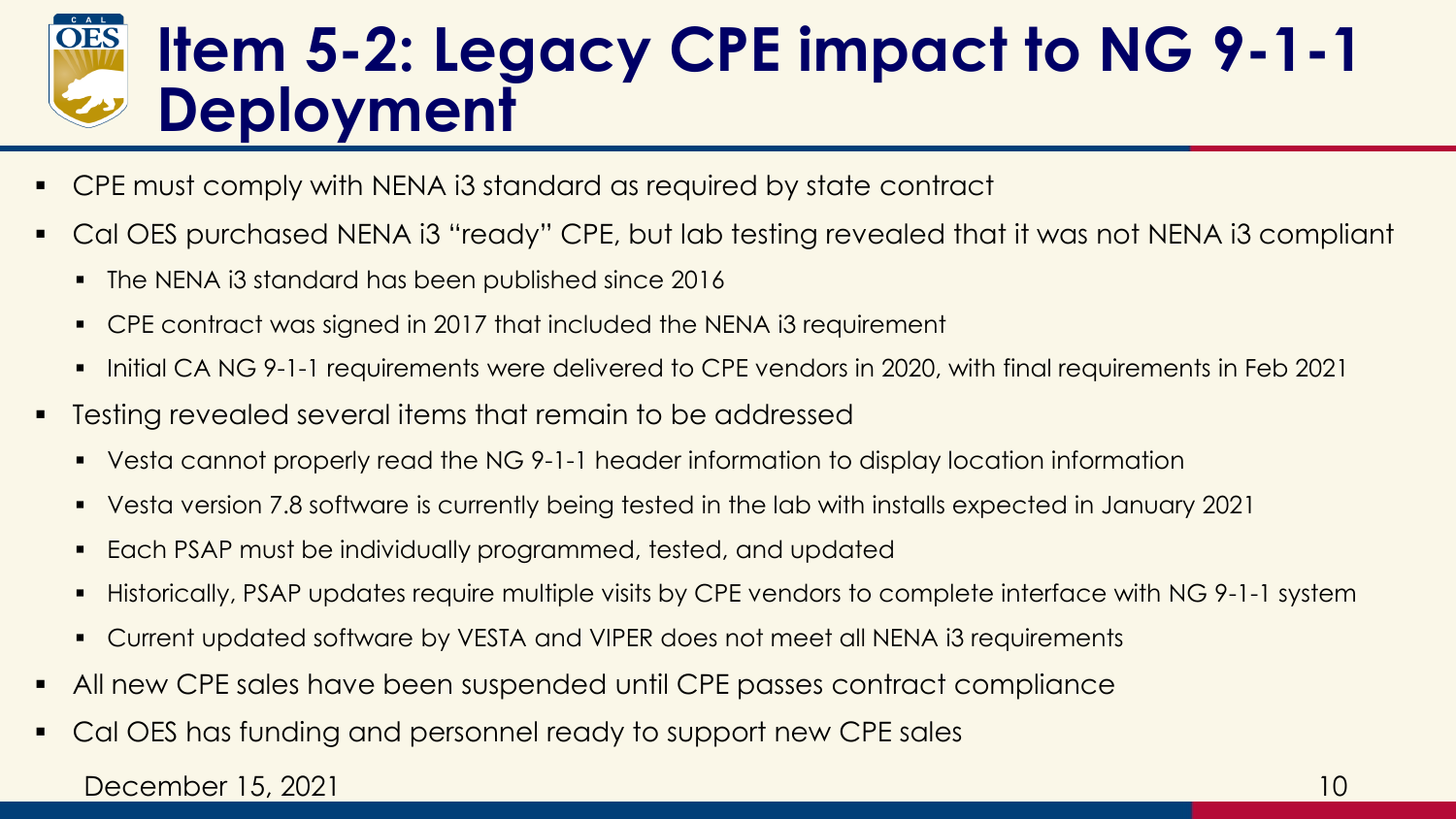#### **Item 5-2: Legacy CPE impact to NG 9-1-1 Deployment**

- CPE must comply with NENA i3 standard as required by state contract
- Cal OES purchased NENA i3 "ready" CPE, but lab testing revealed that it was not NENA i3 compliant
	- The NENA i3 standard has been published since 2016
	- CPE contract was signed in 2017 that included the NENA i3 requirement
	- Initial CA NG 9-1-1 requirements were delivered to CPE vendors in 2020, with final requirements in Feb 2021
- Testing revealed several items that remain to be addressed
	- Vesta cannot properly read the NG 9-1-1 header information to display location information
	- Vesta version 7.8 software is currently being tested in the lab with installs expected in January 2021
	- Each PSAP must be individually programmed, tested, and updated
	- Historically, PSAP updates require multiple visits by CPE vendors to complete interface with NG 9-1-1 system
	- Current updated software by VESTA and VIPER does not meet all NENA i3 requirements
- **EXTED All new CPE sales have been suspended until CPE passes contract compliance**
- Cal OES has funding and personnel ready to support new CPE sales

#### December 15, 2021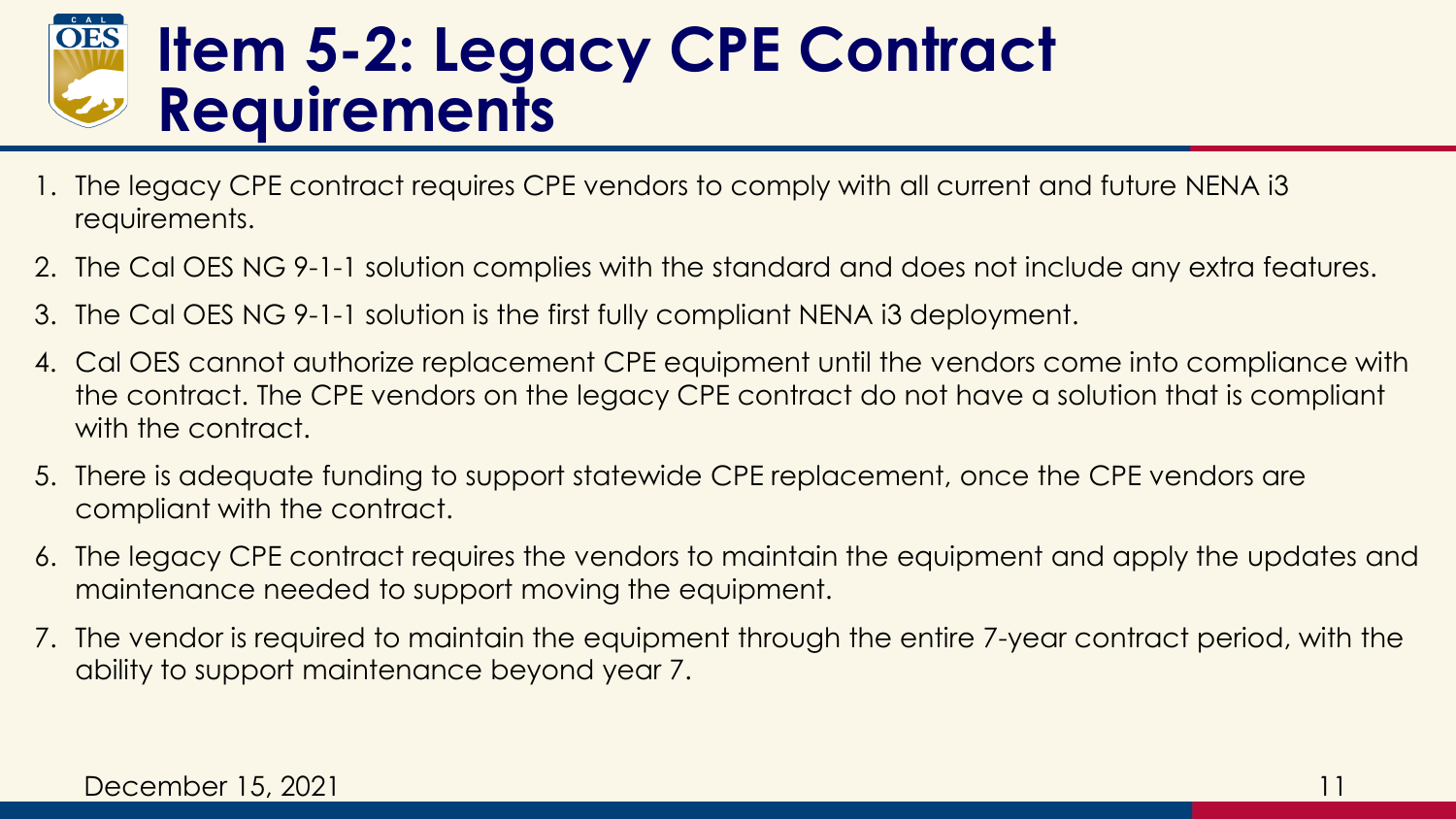#### **Item 5-2: Legacy CPE Contract Requirements**

- 1. The legacy CPE contract requires CPE vendors to comply with all current and future NENA i3 requirements.
- 2. The Cal OES NG 9-1-1 solution complies with the standard and does not include any extra features.
- 3. The Cal OES NG 9-1-1 solution is the first fully compliant NENA i3 deployment.
- 4. Cal OES cannot authorize replacement CPE equipment until the vendors come into compliance with the contract. The CPE vendors on the legacy CPE contract do not have a solution that is compliant with the contract.
- 5. There is adequate funding to support statewide CPE replacement, once the CPE vendors are compliant with the contract.
- 6. The legacy CPE contract requires the vendors to maintain the equipment and apply the updates and maintenance needed to support moving the equipment.
- 7. The vendor is required to maintain the equipment through the entire 7-year contract period, with the ability to support maintenance beyond year 7.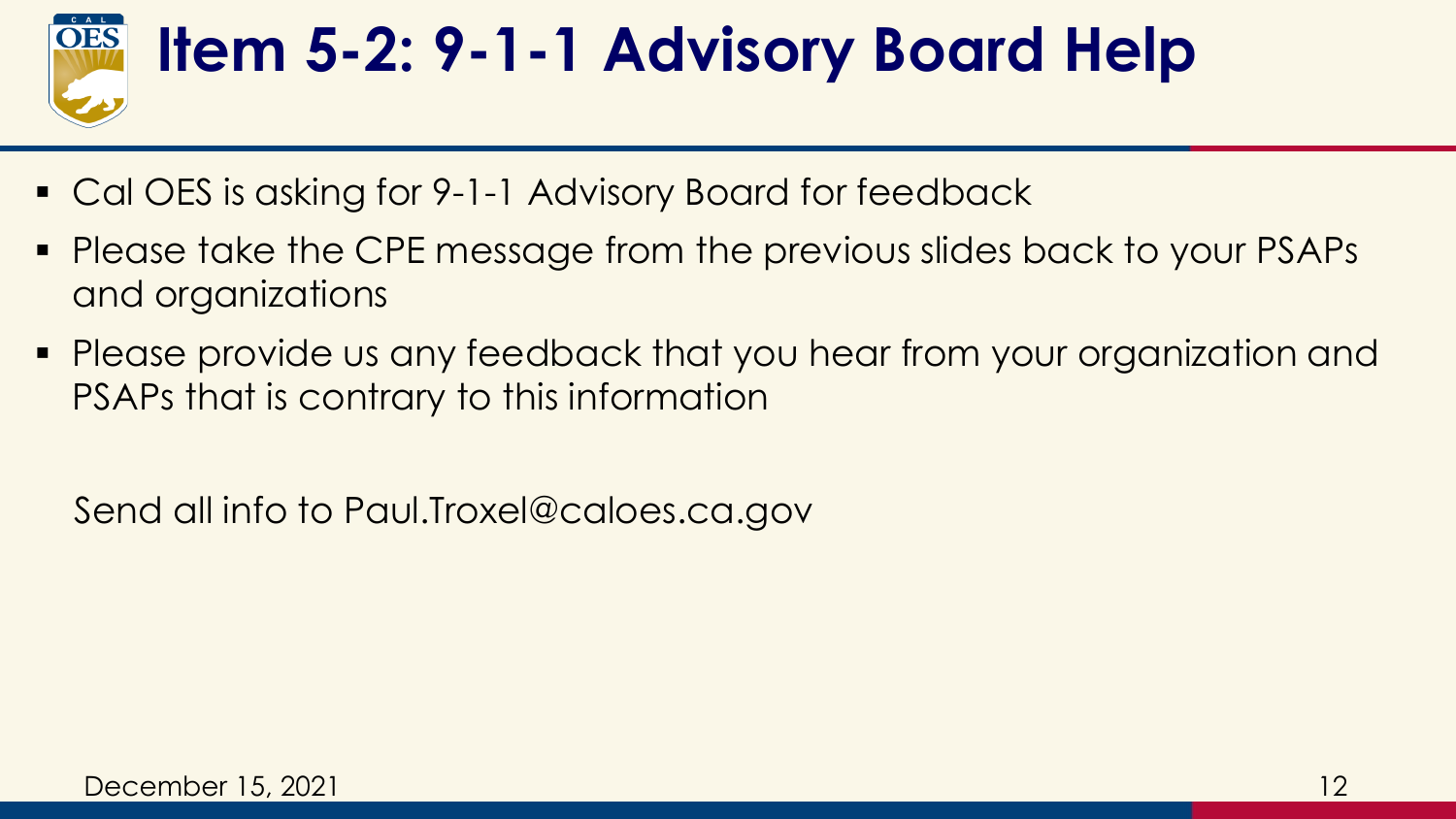

# **Item 5-2: 9-1-1 Advisory Board Help**

- Cal OES is asking for 9-1-1 Advisory Board for feedback
- Please take the CPE message from the previous slides back to your PSAPs and organizations
- Please provide us any feedback that you hear from your organization and PSAPs that is contrary to this information

Send all info to Paul.Troxel@caloes.ca.gov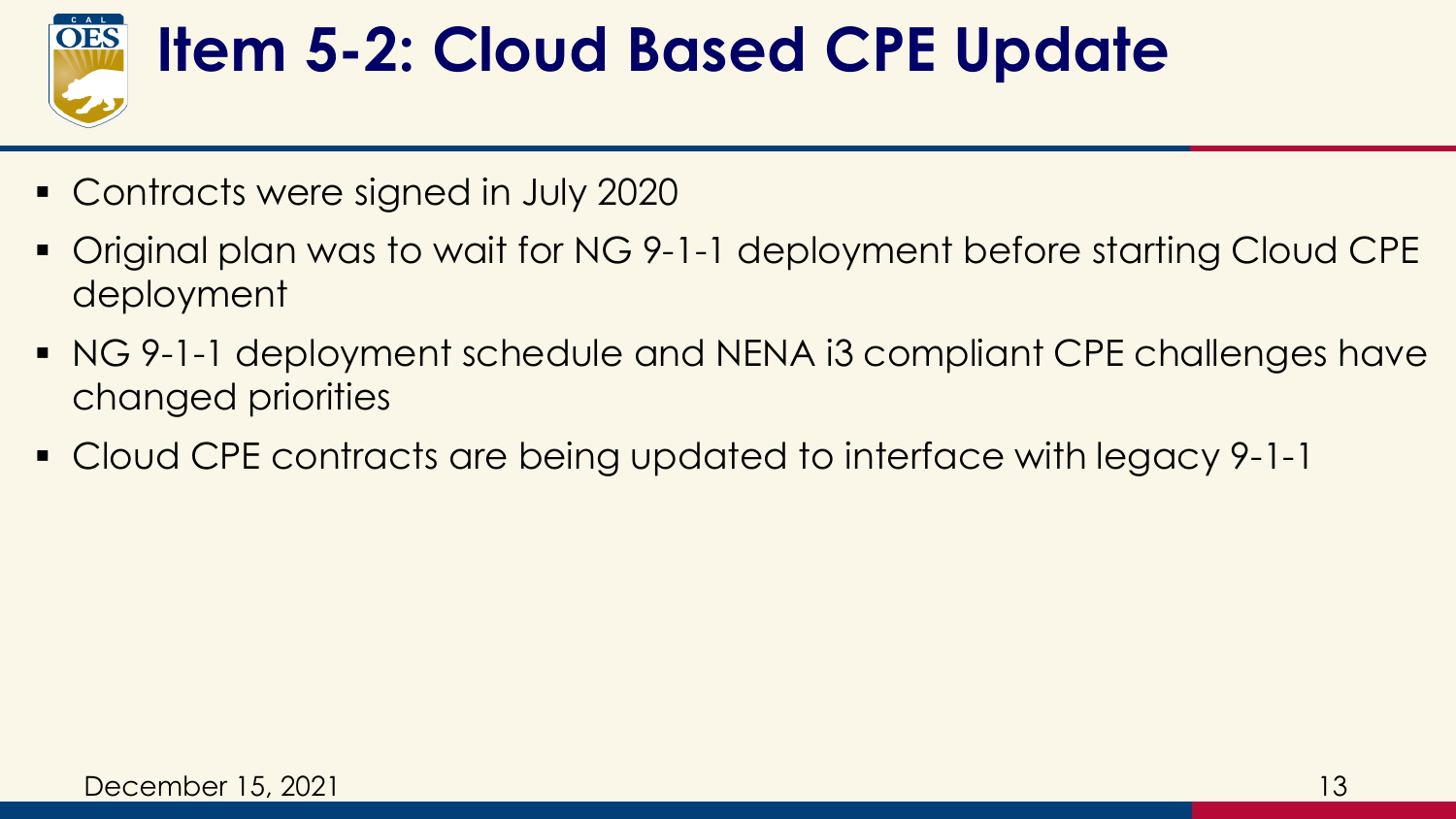

### **Item 5-2: Cloud Based CPE Update**

- Contracts were signed in July 2020
- Original plan was to wait for NG 9-1-1 deployment before starting Cloud CPE deployment
- NG 9-1-1 deployment schedule and NENA i3 compliant CPE challenges have changed priorities
- Cloud CPE contracts are being updated to interface with legacy 9-1-1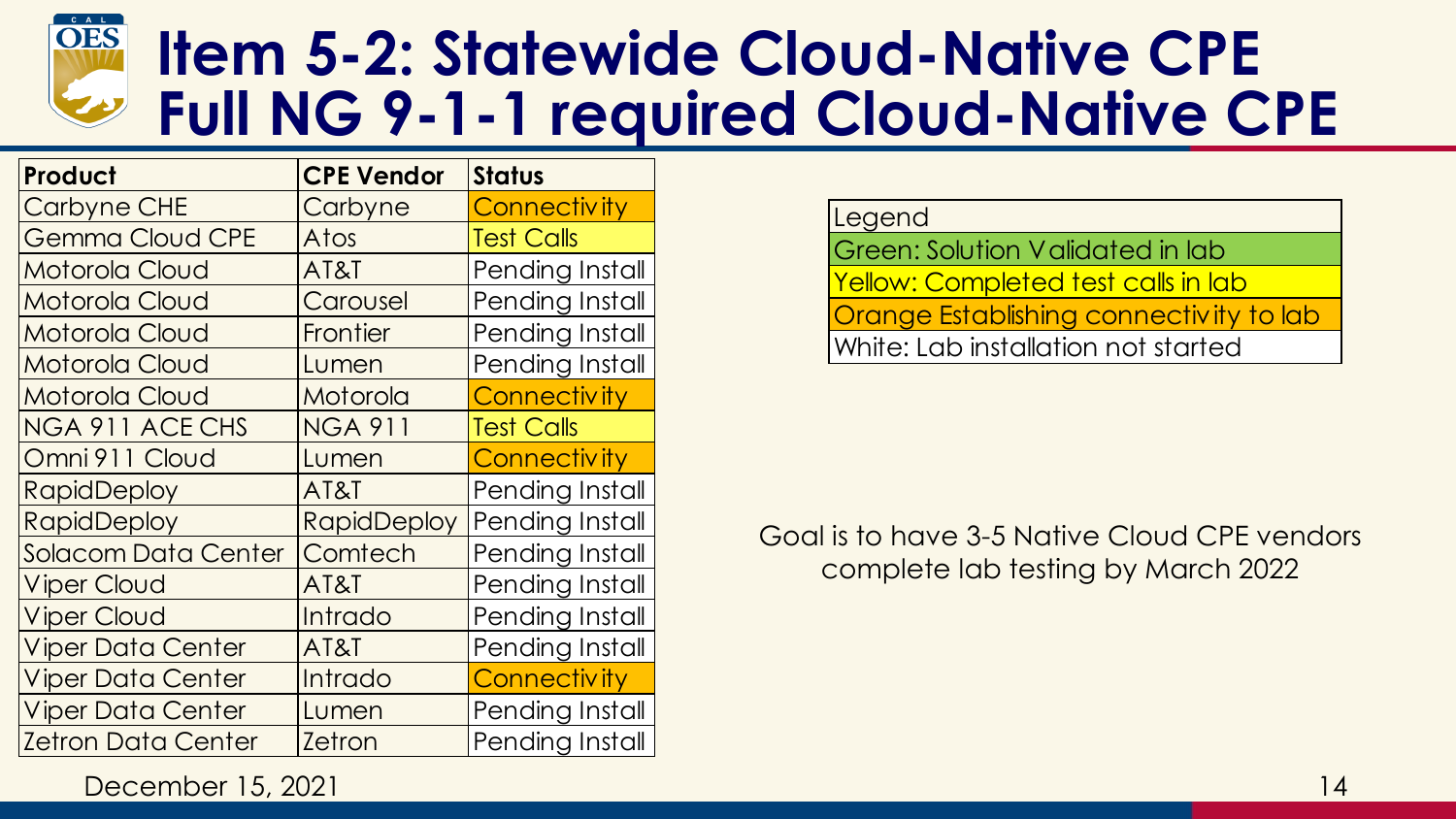

#### **Item 5-2: Statewide Cloud-Native CPE Full NG 9-1-1 required Cloud-Native CPE**

| Product                    | <b>CPE Vendor</b>  | <b>Status</b>       |
|----------------------------|--------------------|---------------------|
| <b>Carbyne CHE</b>         | Carbyne            | Connectivity        |
| <b>Gemma Cloud CPE</b>     | Atos               | <b>Test Calls</b>   |
| Motorola Cloud             | AT&T               | Pending Install     |
| Motorola Cloud             | Carousel           | Pending Install     |
| Motorola Cloud             | Frontier           | Pending Install     |
| Motorola Cloud             | Lumen              | Pending Install     |
| Motorola Cloud             | Motorola           | <b>Connectivity</b> |
| NGA 911 ACE CHS            | <b>NGA 911</b>     | <b>Test Calls</b>   |
| Omni 911 Cloud             | Lumen              | <b>Connectivity</b> |
| <b>RapidDeploy</b>         | AT&T               | Pending Install     |
| <b>RapidDeploy</b>         | <b>RapidDeploy</b> | Pending Install     |
| <b>Solacom Data Center</b> | Comtech            | Pending Install     |
| <b>Viper Cloud</b>         | AT&T               | Pending Install     |
| <b>Viper Cloud</b>         | Intrado            | Pending Install     |
| <b>Viper Data Center</b>   | AT&T               | Pending Install     |
| <b>Viper Data Center</b>   | Intrado            | <b>Connectivity</b> |
| <b>Viper Data Center</b>   | Lumen              | Pending Install     |
| <b>Zetron Data Center</b>  | <b>Zetron</b>      | Pending Install     |

Legend

Green: Solution Validated in lab Yellow: Completed test calls in lab Orange Establishing connectivity to lab White: Lab installation not started

Goal is to have 3-5 Native Cloud CPE vendors complete lab testing by March 2022

December 15, 2021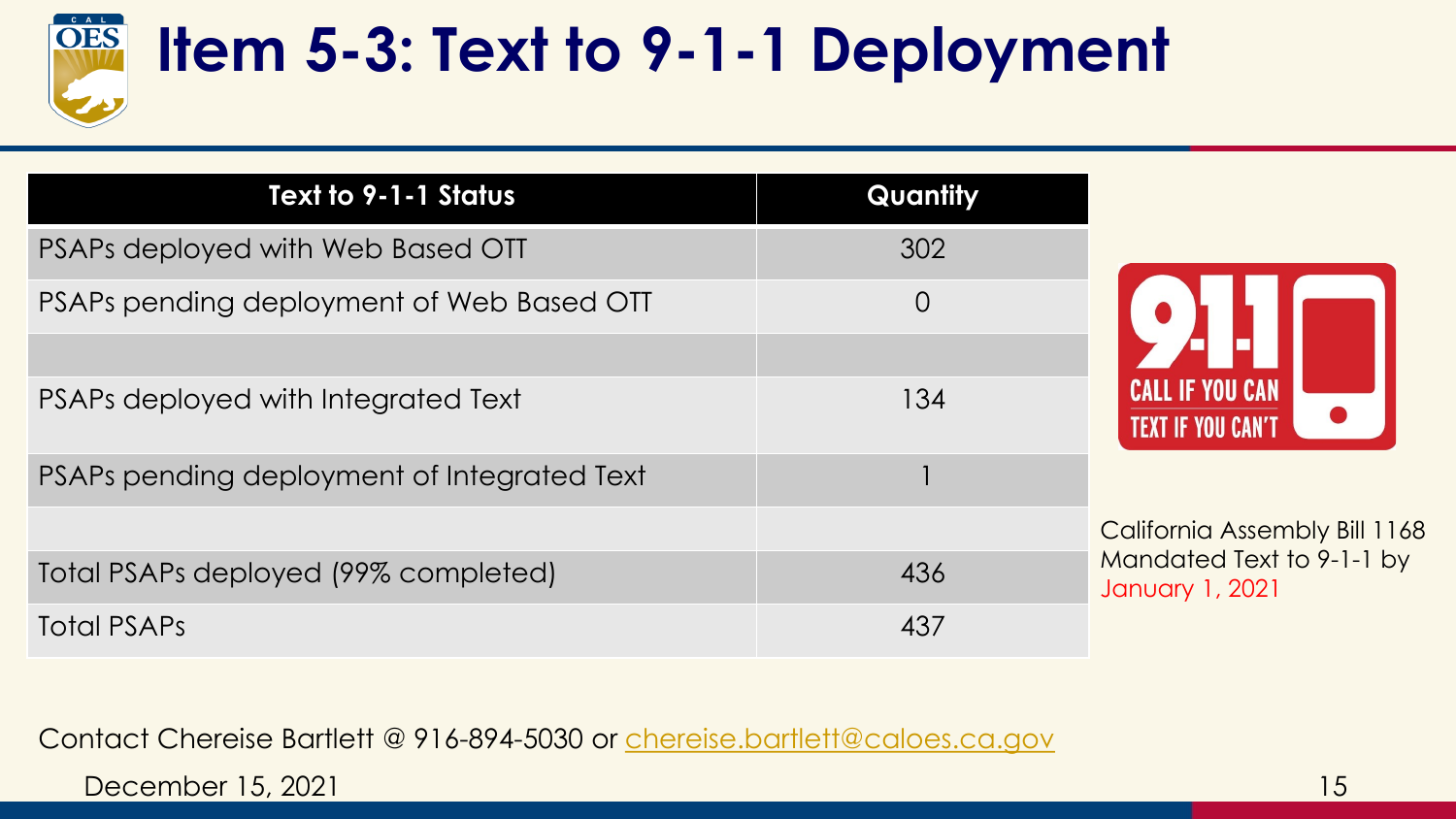

### **Item 5-3: Text to 9-1-1 Deployment**

| Text to 9-1-1 Status                        | Quantity       |                                              |
|---------------------------------------------|----------------|----------------------------------------------|
| PSAPs deployed with Web Based OTT           | 302            |                                              |
| PSAPs pending deployment of Web Based OTT   | $\overline{O}$ |                                              |
| PSAPs deployed with Integrated Text         | 134            | <b>TEXT IF YOU CAN'T</b>                     |
| PSAPs pending deployment of Integrated Text |                |                                              |
|                                             |                | California Assembly Bill 1168                |
| Total PSAPs deployed (99% completed)        | 436            | Mandated Text to 9-1-1 by<br>January 1, 2021 |
| <b>Total PSAPs</b>                          | 437            |                                              |

Contact Chereise Bartlett @ 916-894-5030 or [chereise.bartlett@caloes.ca.gov](mailto:Chereise.Bartlett@caloes.ca.gov)

December 15, 2021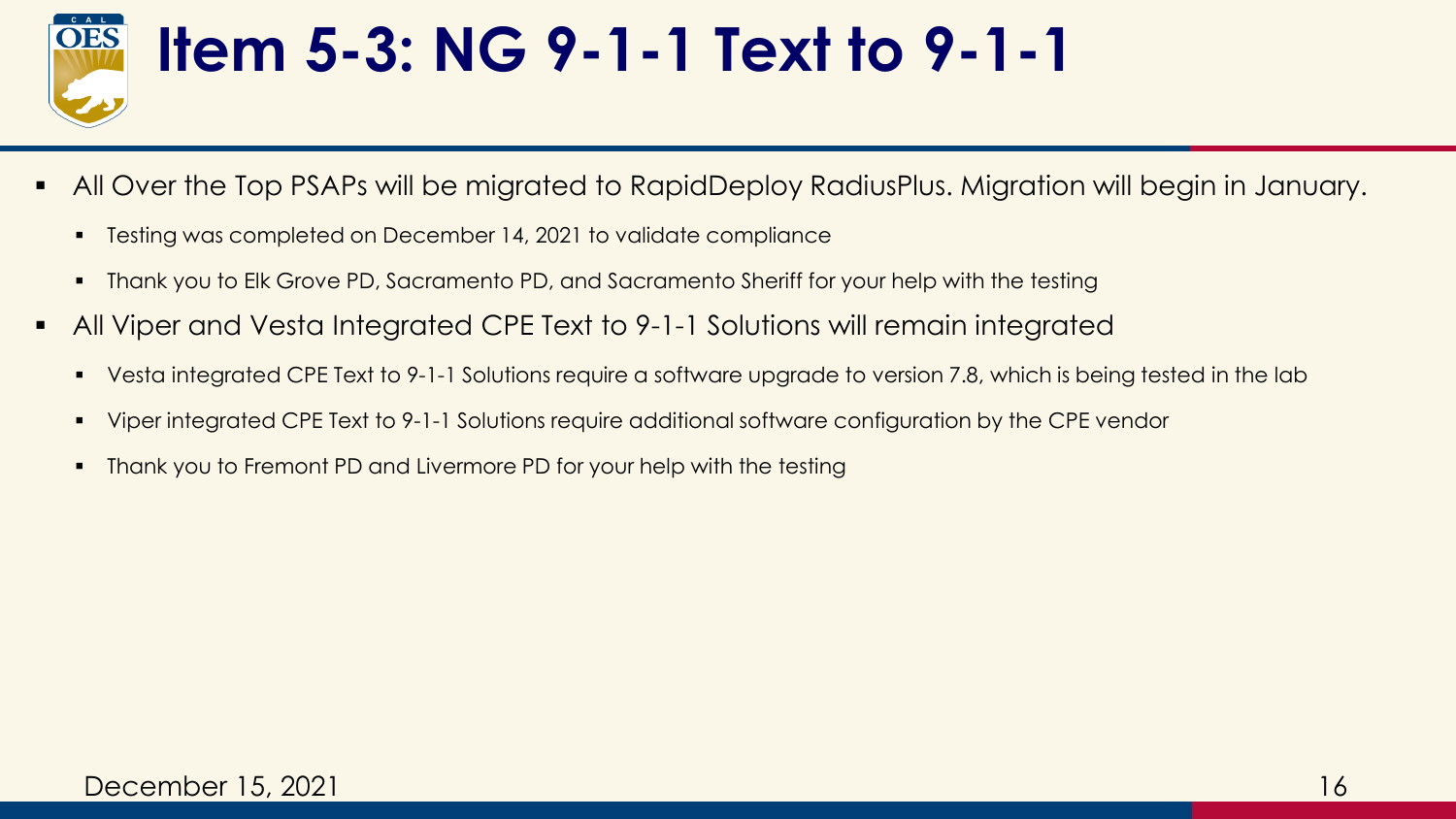

#### **Item 5-3: NG 9-1-1 Text to 9-1-1**

- All Over the Top PSAPs will be migrated to RapidDeploy RadiusPlus. Migration will begin in January.
	- Testing was completed on December 14, 2021 to validate compliance
	- **•** Thank you to Elk Grove PD, Sacramento PD, and Sacramento Sheriff for your help with the testing
- All Viper and Vesta Integrated CPE Text to 9-1-1 Solutions will remain integrated
	- Vesta integrated CPE Text to 9-1-1 Solutions require a software upgrade to version 7.8, which is being tested in the lab
	- Viper integrated CPE Text to 9-1-1 Solutions require additional software configuration by the CPE vendor
	- Thank you to Fremont PD and Livermore PD for your help with the testing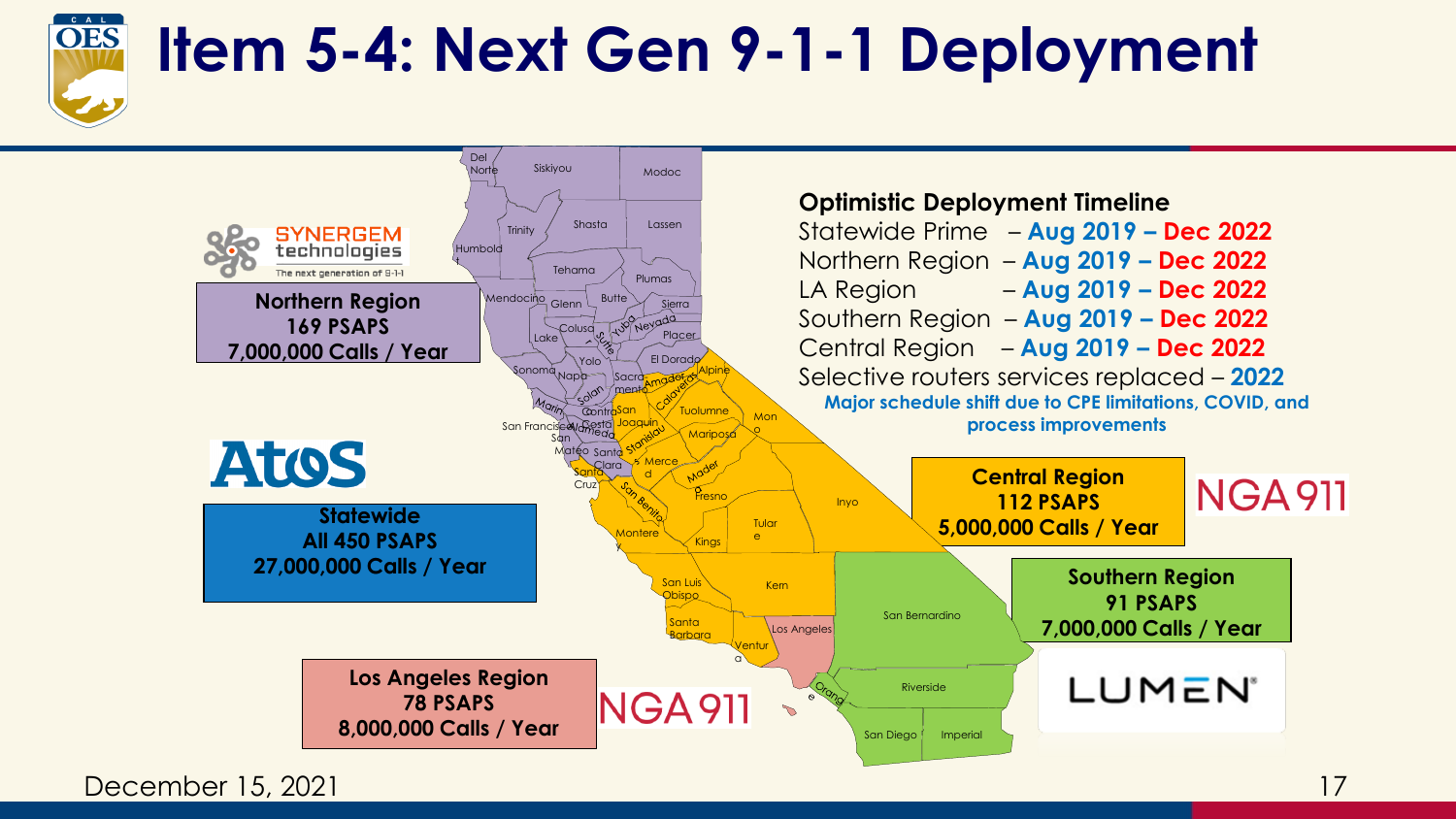

#### **Item 5-4: Next Gen 9-1-1 Deployment**



December 15, 2021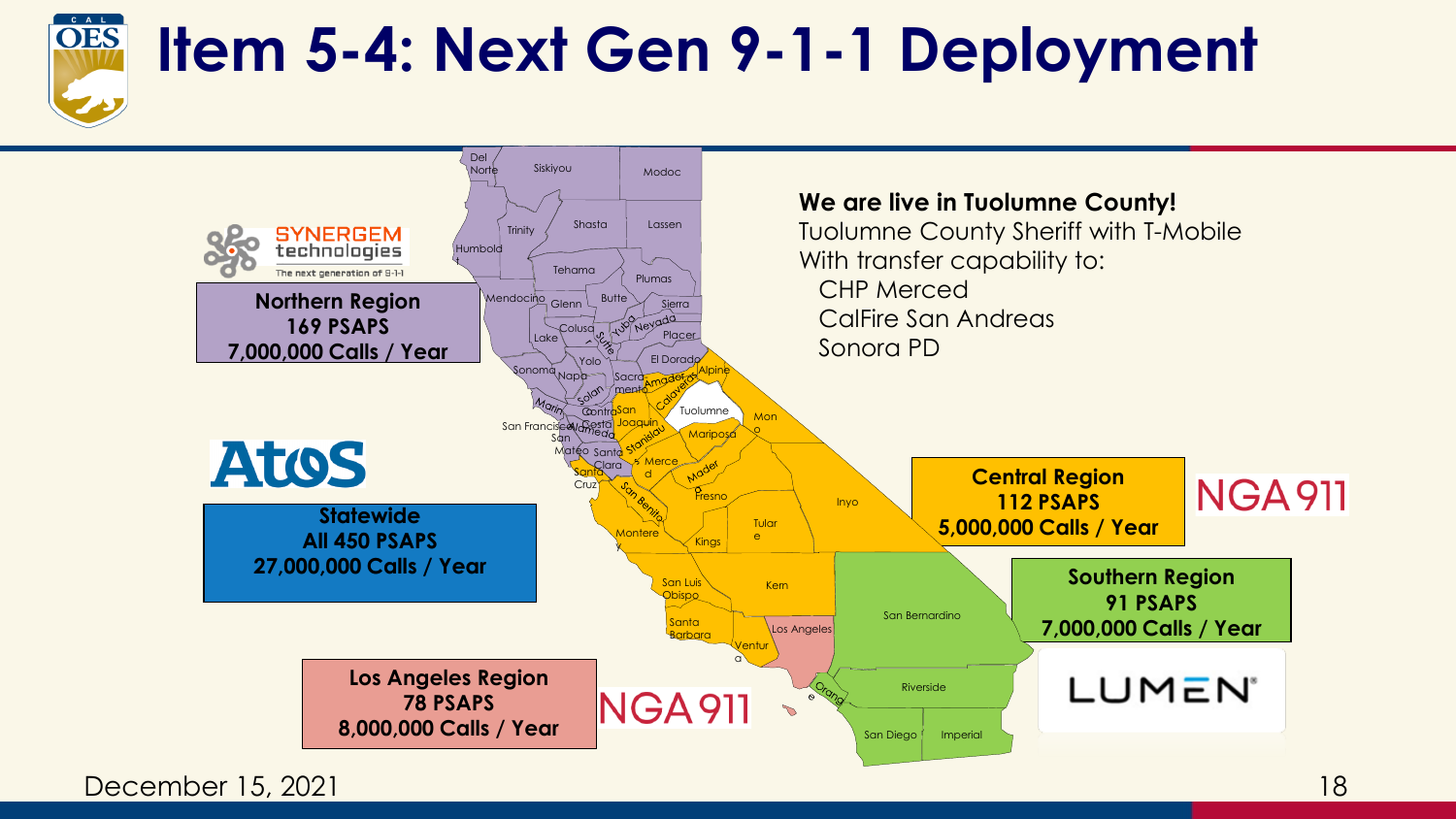

#### **Item 5-4: Next Gen 9-1-1 Deployment**



December 15, 2021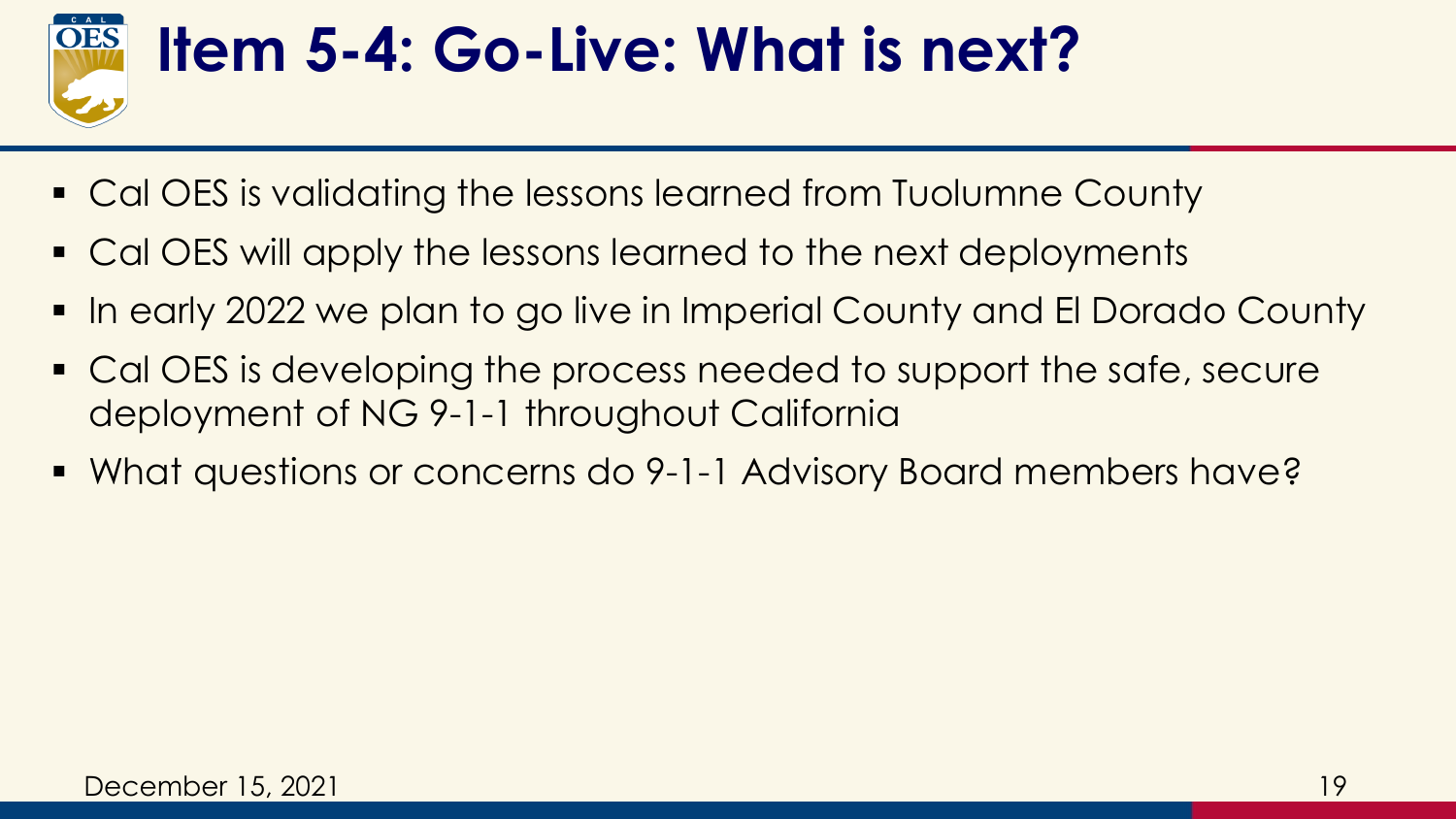

#### **Item 5-4: Go-Live: What is next?**

- Cal OES is validating the lessons learned from Tuolumne County
- Cal OES will apply the lessons learned to the next deployments
- In early 2022 we plan to go live in Imperial County and El Dorado County
- Cal OES is developing the process needed to support the safe, secure deployment of NG 9-1-1 throughout California
- What questions or concerns do 9-1-1 Advisory Board members have?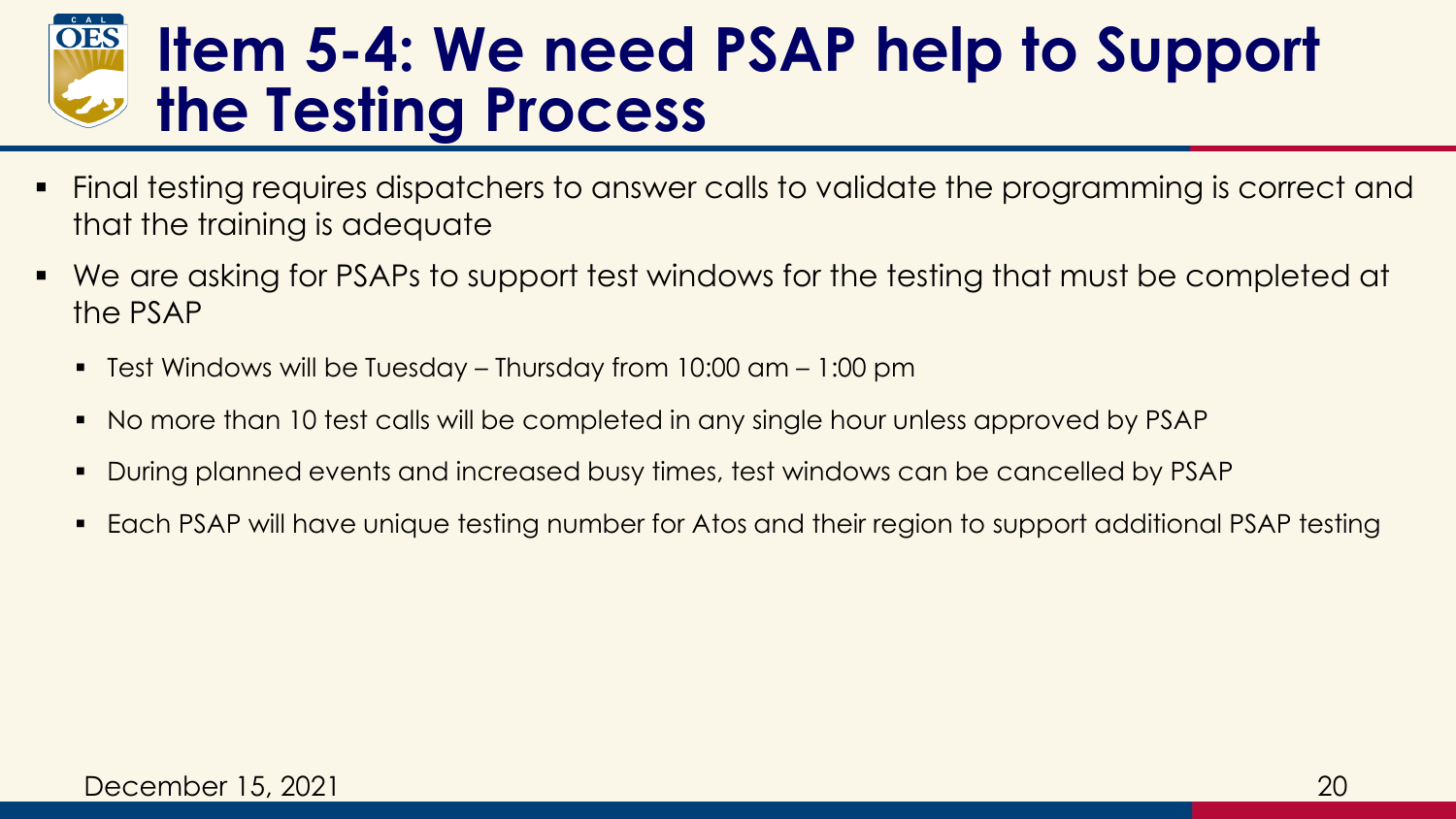#### **Item 5-4: We need PSAP help to Support the Testing Process**

- Final testing requires dispatchers to answer calls to validate the programming is correct and that the training is adequate
- We are asking for PSAPs to support test windows for the testing that must be completed at the PSAP
	- Test Windows will be Tuesday Thursday from  $10:00$  am  $1:00$  pm
	- No more than 10 test calls will be completed in any single hour unless approved by PSAP
	- During planned events and increased busy times, test windows can be cancelled by PSAP
	- Each PSAP will have unique testing number for Atos and their region to support additional PSAP testing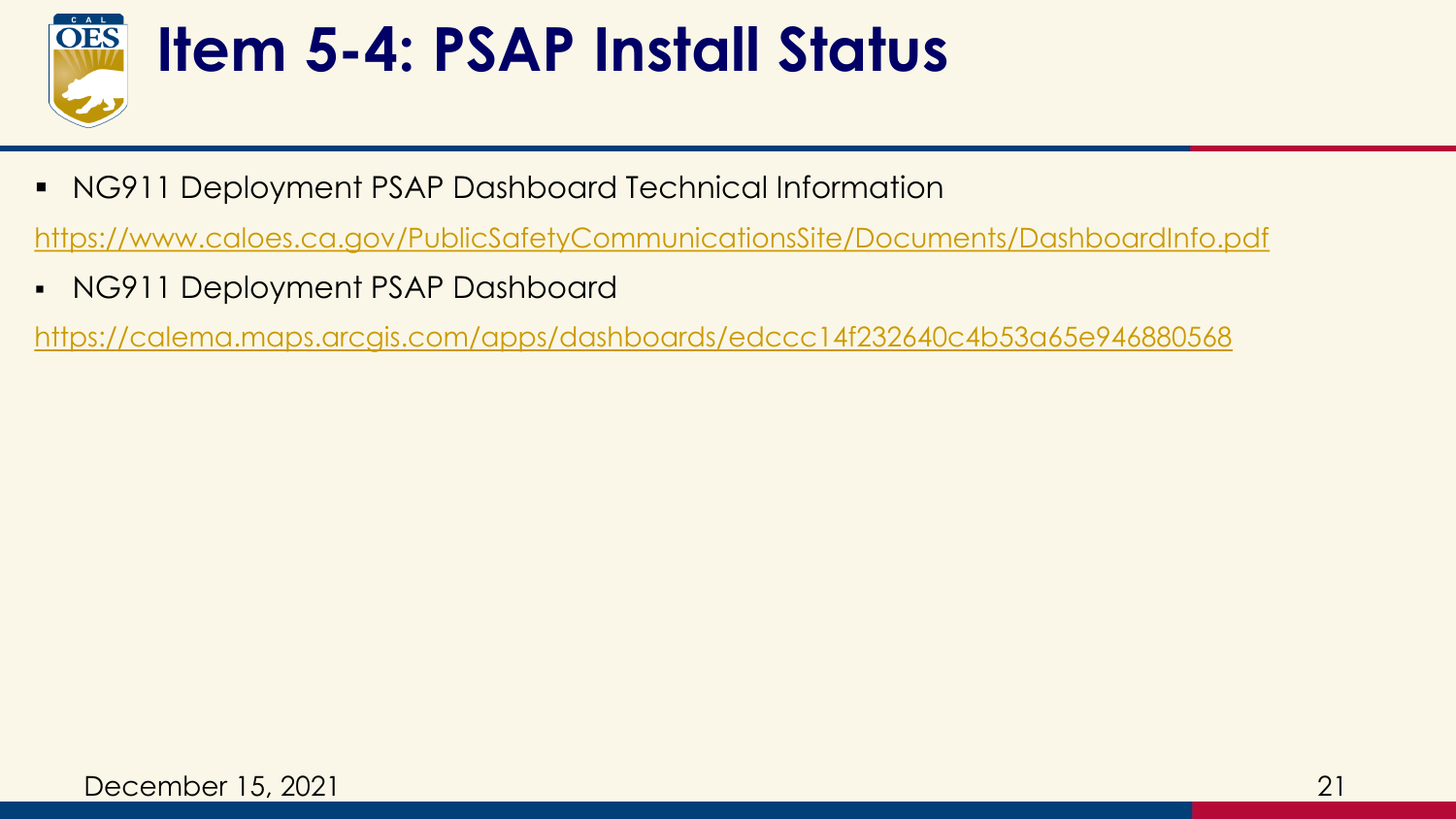

#### **Item 5-4: PSAP Install Status**

■ NG911 Deployment PSAP Dashboard Technical Information

<https://www.caloes.ca.gov/PublicSafetyCommunicationsSite/Documents/DashboardInfo.pdf>

▪ NG911 Deployment PSAP Dashboard

<https://calema.maps.arcgis.com/apps/dashboards/edccc14f232640c4b53a65e946880568>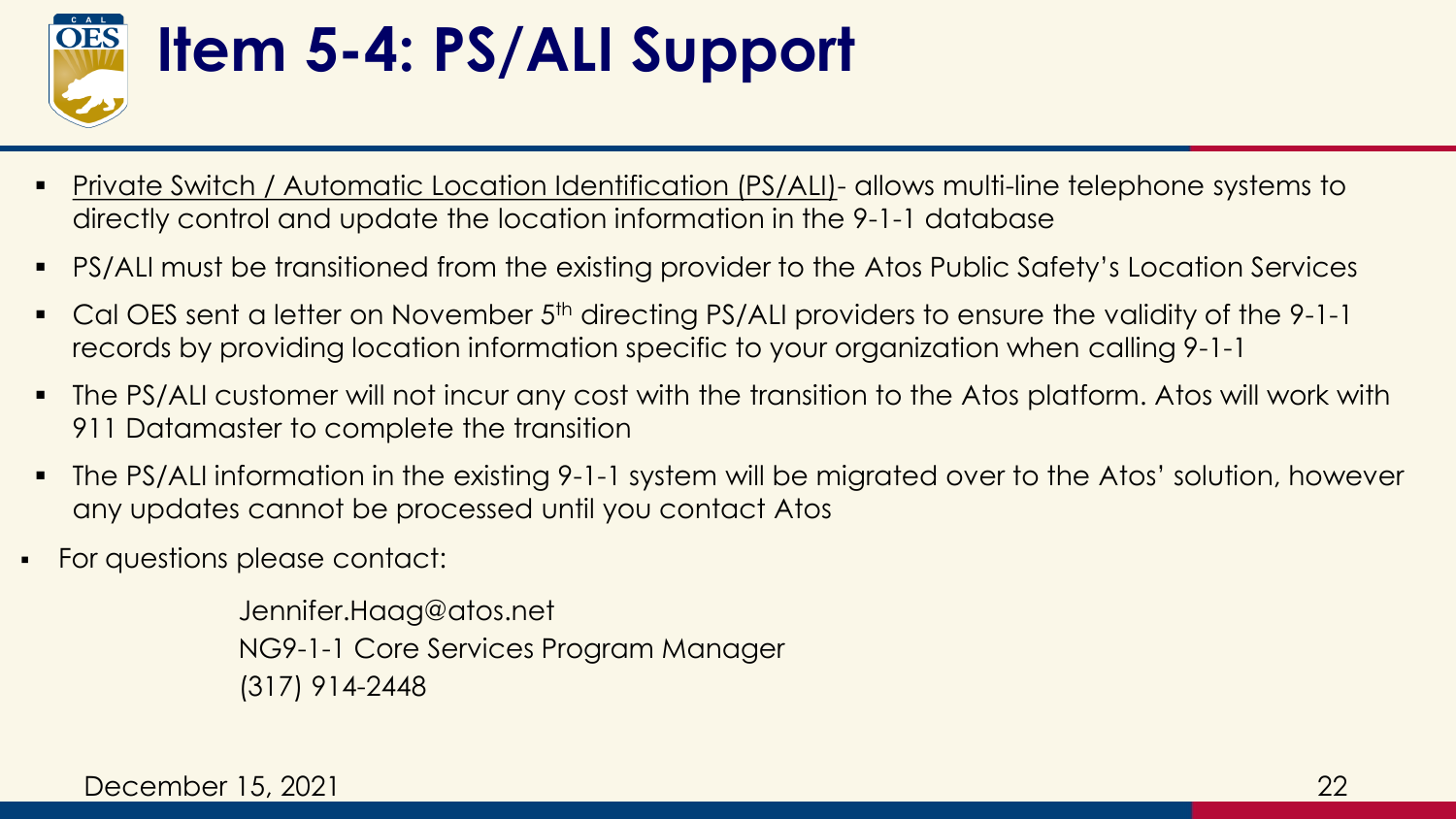

# **Item 5-4: PS/ALI Support**

- **Private Switch / Automatic Location Identification (PS/ALI)- allows multi-line telephone systems to** directly control and update the location information in the 9-1-1 database
- PS/ALI must be transitioned from the existing provider to the Atos Public Safety's Location Services
- Cal OES sent a letter on November 5<sup>th</sup> directing PS/ALI providers to ensure the validity of the 9-1-1 records by providing location information specific to your organization when calling 9-1-1
- The PS/ALI customer will not incur any cost with the transition to the Atos platform. Atos will work with 911 Datamaster to complete the transition
- The PS/ALI information in the existing 9-1-1 system will be migrated over to the Atos' solution, however any updates cannot be processed until you contact Atos
- For questions please contact:

Jennifer.Haag@atos.net NG9-1-1 Core Services Program Manager (317) 914-2448

December 15, 2021

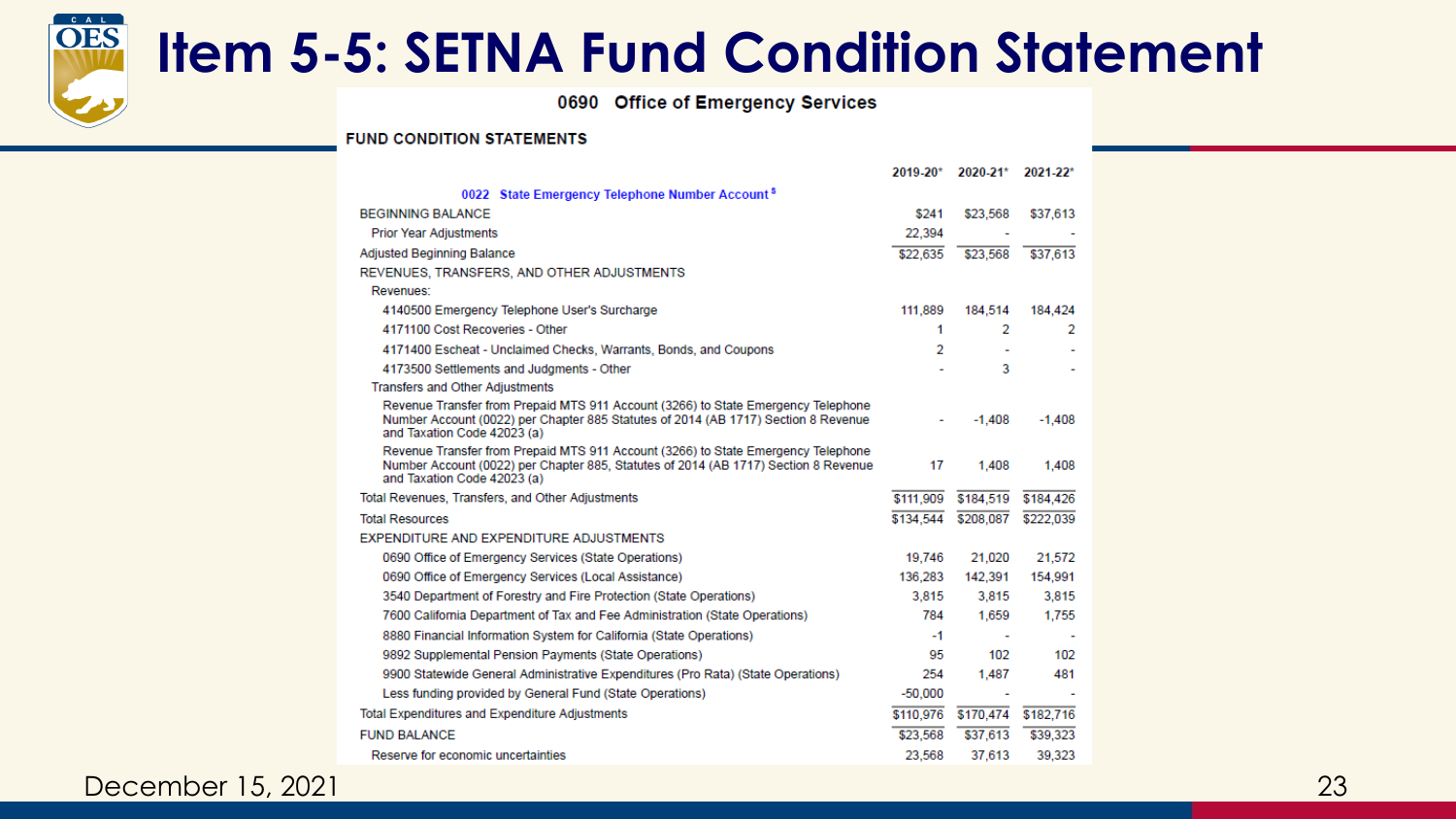

#### **Item 5-5: SETNA Fund Condition Statement**

0690 Office of Emergency Services

#### **FUND CONDITION STATEMENTS**

|                                                                                                                                                                                                         | 2019-20*                 | 2020-21*                 | $2021 - 22$ * |
|---------------------------------------------------------------------------------------------------------------------------------------------------------------------------------------------------------|--------------------------|--------------------------|---------------|
| 0022 State Emergency Telephone Number Account <sup>s</sup>                                                                                                                                              |                          |                          |               |
| <b>BEGINNING BALANCE</b>                                                                                                                                                                                | \$241                    | \$23,568                 | \$37,613      |
| <b>Prior Year Adjustments</b>                                                                                                                                                                           | 22.394                   |                          |               |
| <b>Adjusted Beginning Balance</b>                                                                                                                                                                       | \$22,635                 | \$23,568                 | \$37,613      |
| REVENUES, TRANSFERS, AND OTHER ADJUSTMENTS                                                                                                                                                              |                          |                          |               |
| Revenues:                                                                                                                                                                                               |                          |                          |               |
| 4140500 Emergency Telephone User's Surcharge                                                                                                                                                            | 111,889                  | 184,514                  | 184,424       |
| 4171100 Cost Recoveries - Other                                                                                                                                                                         | 1                        | 2                        | 2             |
| 4171400 Escheat - Unclaimed Checks, Warrants, Bonds, and Coupons                                                                                                                                        | 2                        | $\overline{\phantom{a}}$ |               |
| 4173500 Settlements and Judgments - Other                                                                                                                                                               |                          | 3                        |               |
| <b>Transfers and Other Adjustments</b>                                                                                                                                                                  |                          |                          |               |
| Revenue Transfer from Prepaid MTS 911 Account (3266) to State Emergency Telephone<br>Number Account (0022) per Chapter 885 Statutes of 2014 (AB 1717) Section 8 Revenue<br>and Taxation Code 42023 (a)  | $\overline{\phantom{0}}$ | $-1.408$                 | $-1.408$      |
| Revenue Transfer from Prepaid MTS 911 Account (3266) to State Emergency Telephone<br>Number Account (0022) per Chapter 885, Statutes of 2014 (AB 1717) Section 8 Revenue<br>and Taxation Code 42023 (a) | 17                       | 1,408                    | 1.408         |
| Total Revenues, Transfers, and Other Adjustments                                                                                                                                                        | \$111,909                | \$184,519                | \$184,426     |
| <b>Total Resources</b>                                                                                                                                                                                  | \$134,544                | \$208,087                | \$222,039     |
| EXPENDITURE AND EXPENDITURE ADJUSTMENTS                                                                                                                                                                 |                          |                          |               |
| 0690 Office of Emergency Services (State Operations)                                                                                                                                                    | 19,746                   | 21,020                   | 21,572        |
| 0690 Office of Emergency Services (Local Assistance)                                                                                                                                                    | 136,283                  | 142,391                  | 154,991       |
| 3540 Department of Forestry and Fire Protection (State Operations)                                                                                                                                      | 3,815                    | 3,815                    | 3,815         |
| 7600 California Department of Tax and Fee Administration (State Operations)                                                                                                                             | 784                      | 1.659                    | 1.755         |
| 8880 Financial Information System for California (State Operations)                                                                                                                                     | $-1$                     | $\sim$                   |               |
| 9892 Supplemental Pension Payments (State Operations)                                                                                                                                                   | 95                       | 102                      | 102           |
| 9900 Statewide General Administrative Expenditures (Pro Rata) (State Operations)                                                                                                                        | 254                      | 1.487                    | 481           |
| Less funding provided by General Fund (State Operations)                                                                                                                                                | $-50.000$                | $\overline{\phantom{a}}$ |               |
| <b>Total Expenditures and Expenditure Adjustments</b>                                                                                                                                                   | \$110,976                | \$170,474                | \$182,716     |
| <b>FUND BALANCE</b>                                                                                                                                                                                     | \$23,568                 | \$37,613                 | \$39,323      |
| Reserve for economic uncertainties                                                                                                                                                                      | 23,568                   | 37,613                   | 39,323        |

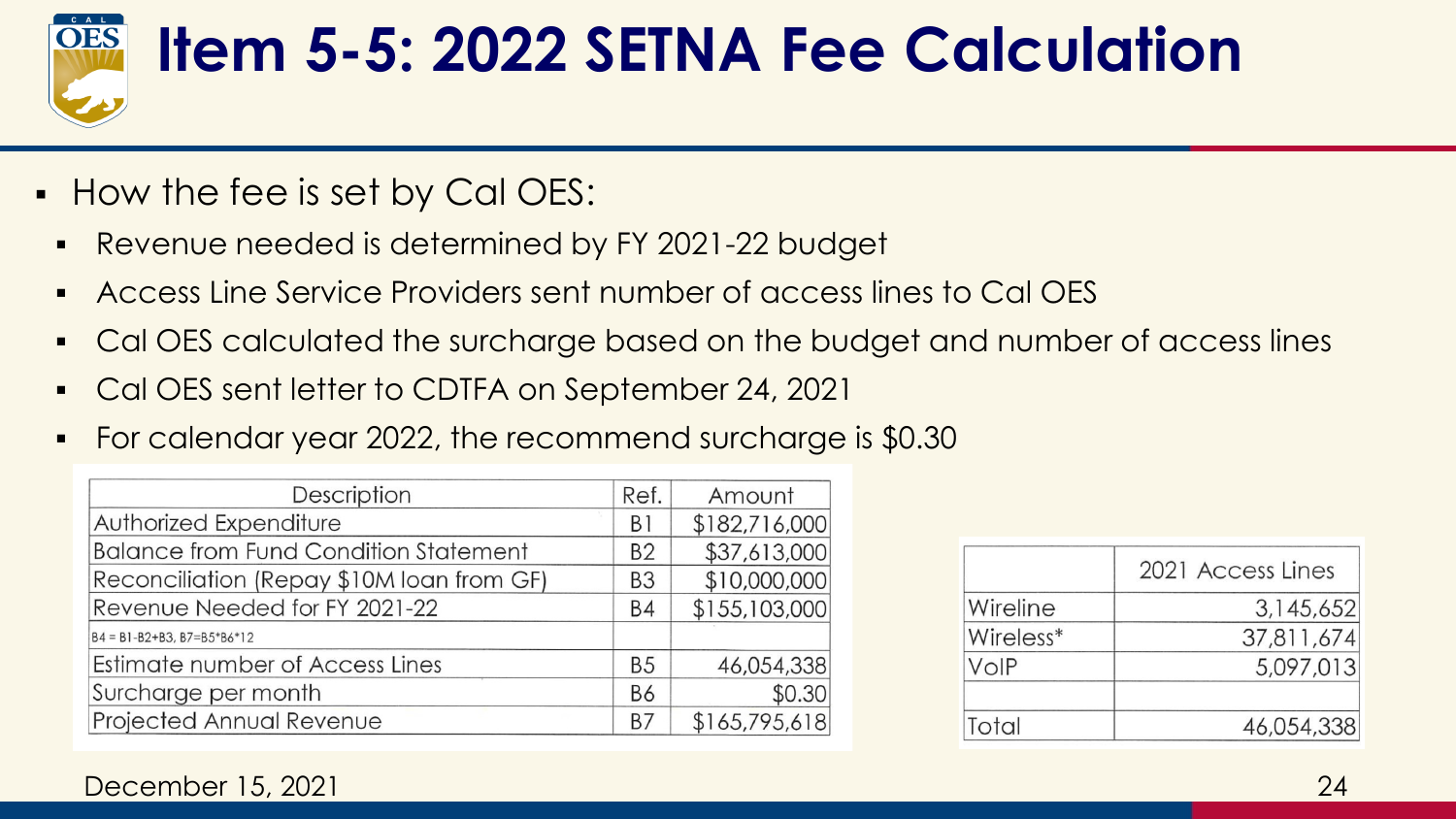

#### **Item 5-5: 2022 SETNA Fee Calculation**

- How the fee is set by Cal OES:
	- Revenue needed is determined by FY 2021-22 budget
	- Access Line Service Providers sent number of access lines to Cal OES
	- Cal OES calculated the surcharge based on the budget and number of access lines
	- Cal OES sent letter to CDTFA on September 24, 2021
	- For calendar year 2022, the recommend surcharge is \$0.30

| Description                                  |                | Amount        |
|----------------------------------------------|----------------|---------------|
| Authorized Expenditure                       | B1             | \$182,716,000 |
| <b>Balance from Fund Condition Statement</b> | <b>B2</b>      | \$37,613,000  |
| Reconciliation (Repay \$10M loan from GF)    | B <sub>3</sub> | \$10,000,000  |
| Revenue Needed for FY 2021-22                | B4             | \$155,103,000 |
| $B4 = B1 - B2 + B3$ , $B7 = B5*B6*12$        |                |               |
| Estimate number of Access Lines              | B <sub>5</sub> | 46,054,338    |
| Surcharge per month                          | <b>B6</b>      | \$0.30        |
| Projected Annual Revenue                     | B7             | \$165,795,618 |

|           | 2021 Access Lines |
|-----------|-------------------|
| Wireline  | 3,145,652         |
| Wireless* | 37,811,674        |
| VoIP      | 5,097,013         |
| Total     | 46,054,338        |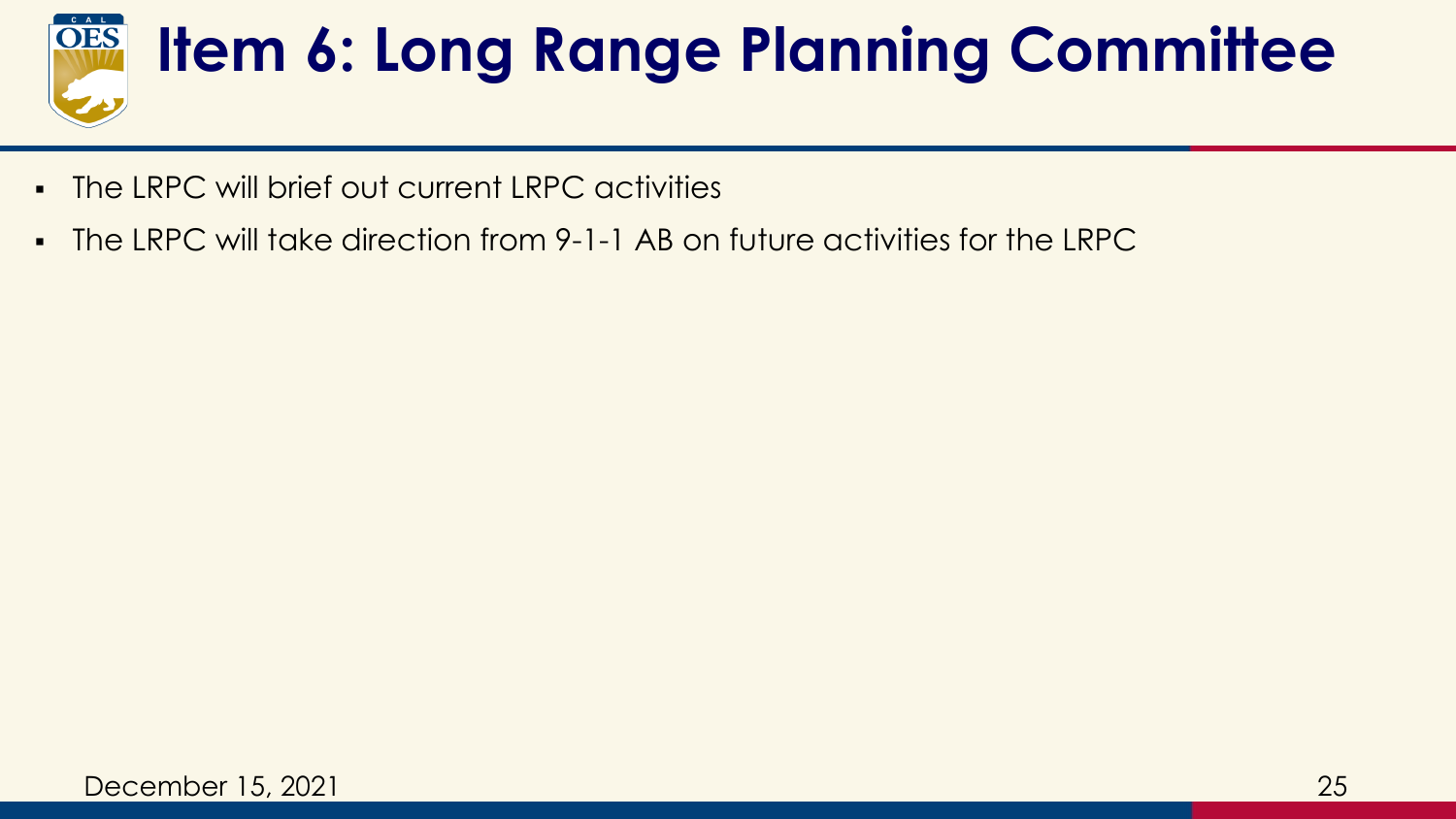

# **Item 6: Long Range Planning Committee**

- The LRPC will brief out current LRPC activities
- The LRPC will take direction from 9-1-1 AB on future activities for the LRPC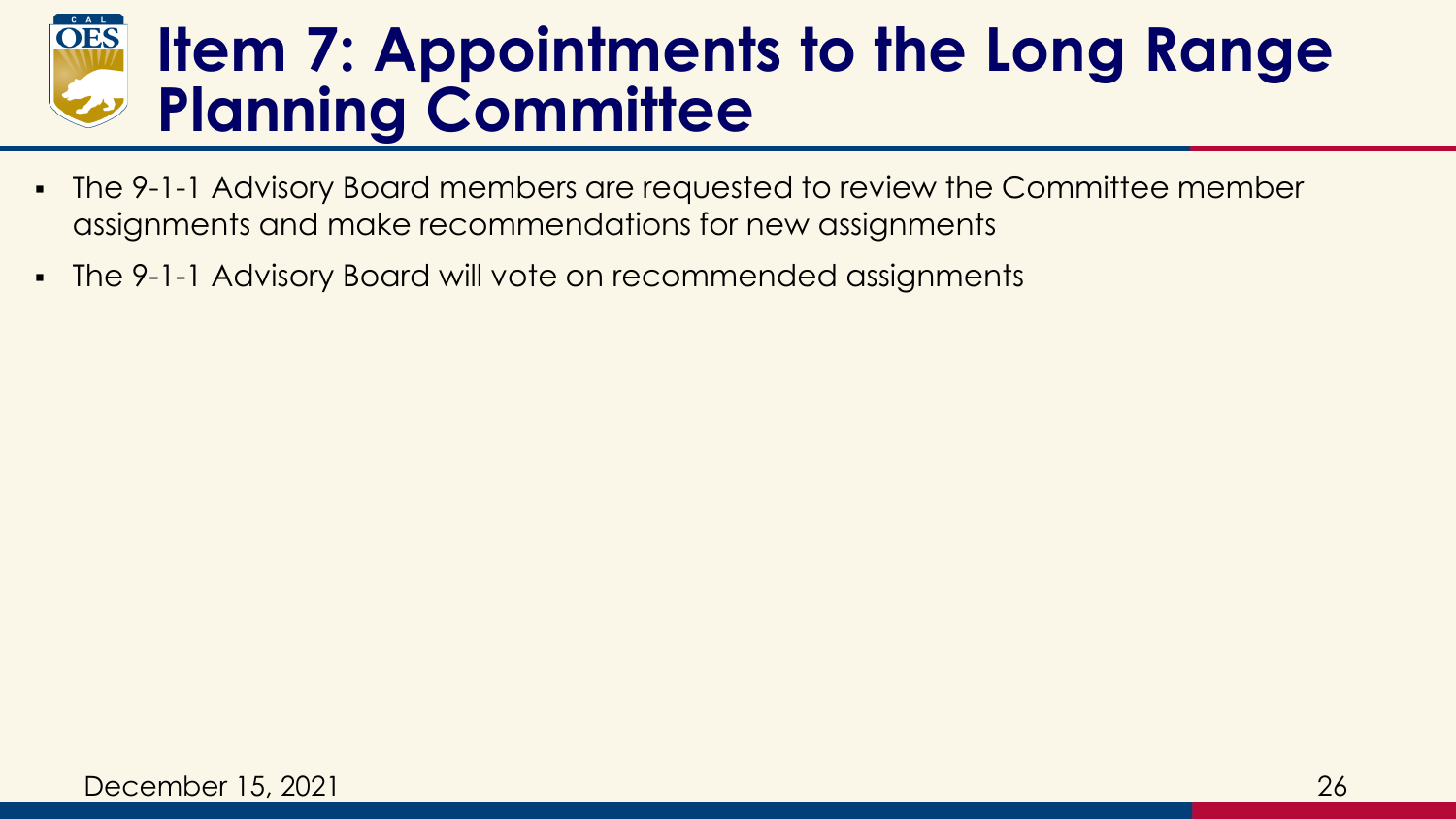#### **OES Item 7: Appointments to the Long Range Planning Committee**

- The 9-1-1 Advisory Board members are requested to review the Committee member assignments and make recommendations for new assignments
- The 9-1-1 Advisory Board will vote on recommended assignments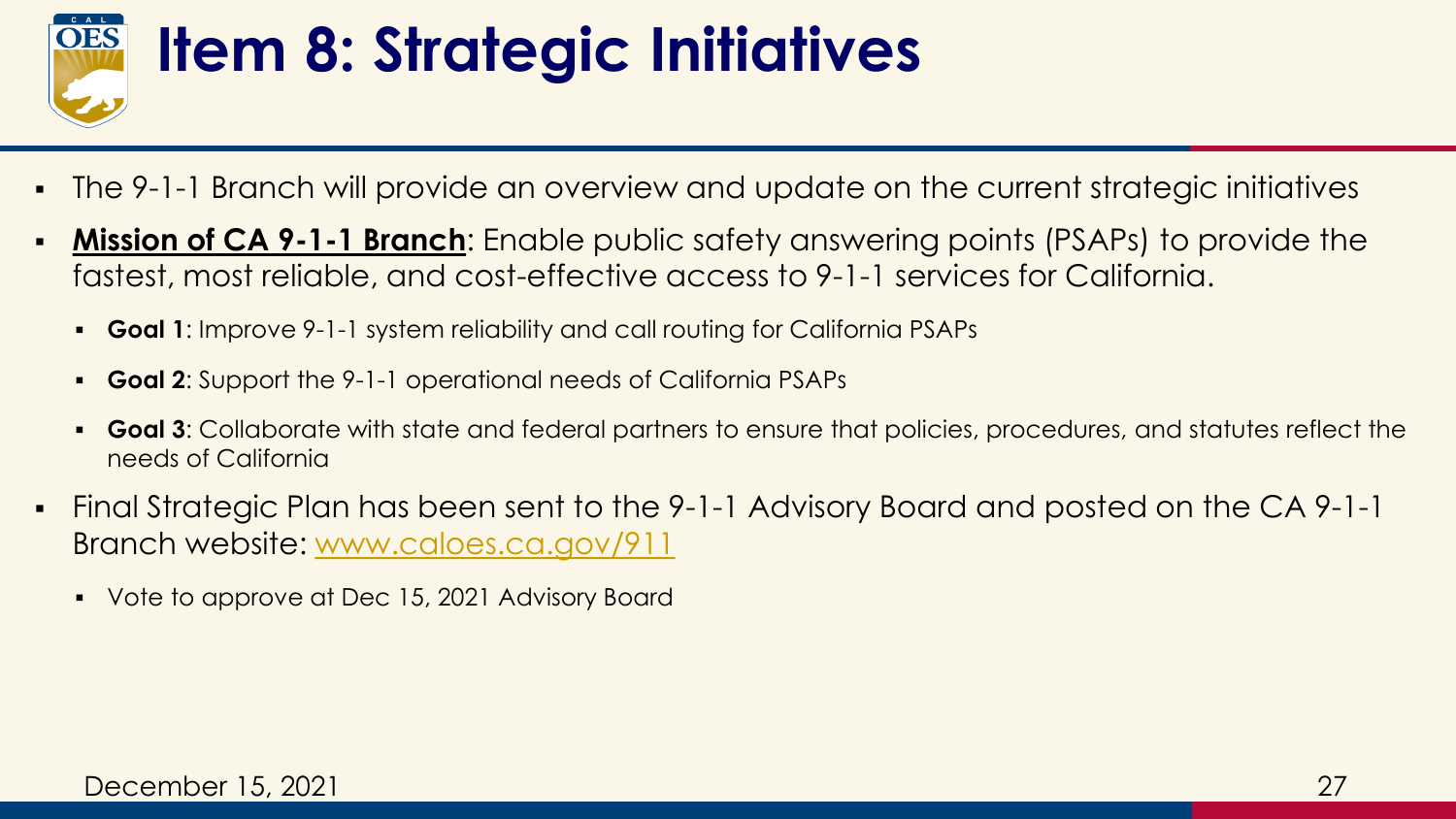

### **Item 8: Strategic Initiatives**

- The 9-1-1 Branch will provide an overview and update on the current strategic initiatives
- **Mission of CA 9-1-1 Branch**: Enable public safety answering points (PSAPs) to provide the fastest, most reliable, and cost-effective access to 9-1-1 services for California.
	- **Goal 1**: Improve 9-1-1 system reliability and call routing for California PSAPs
	- **Goal 2:** Support the 9-1-1 operational needs of California PSAPs
	- **Goal 3**: Collaborate with state and federal partners to ensure that policies, procedures, and statutes reflect the needs of California
- Final Strategic Plan has been sent to the 9-1-1 Advisory Board and posted on the CA 9-1-1 Branch website: [www.caloes.ca.gov/911](http://www.caloes.ca.gov/911)
	- Vote to approve at Dec 15, 2021 Advisory Board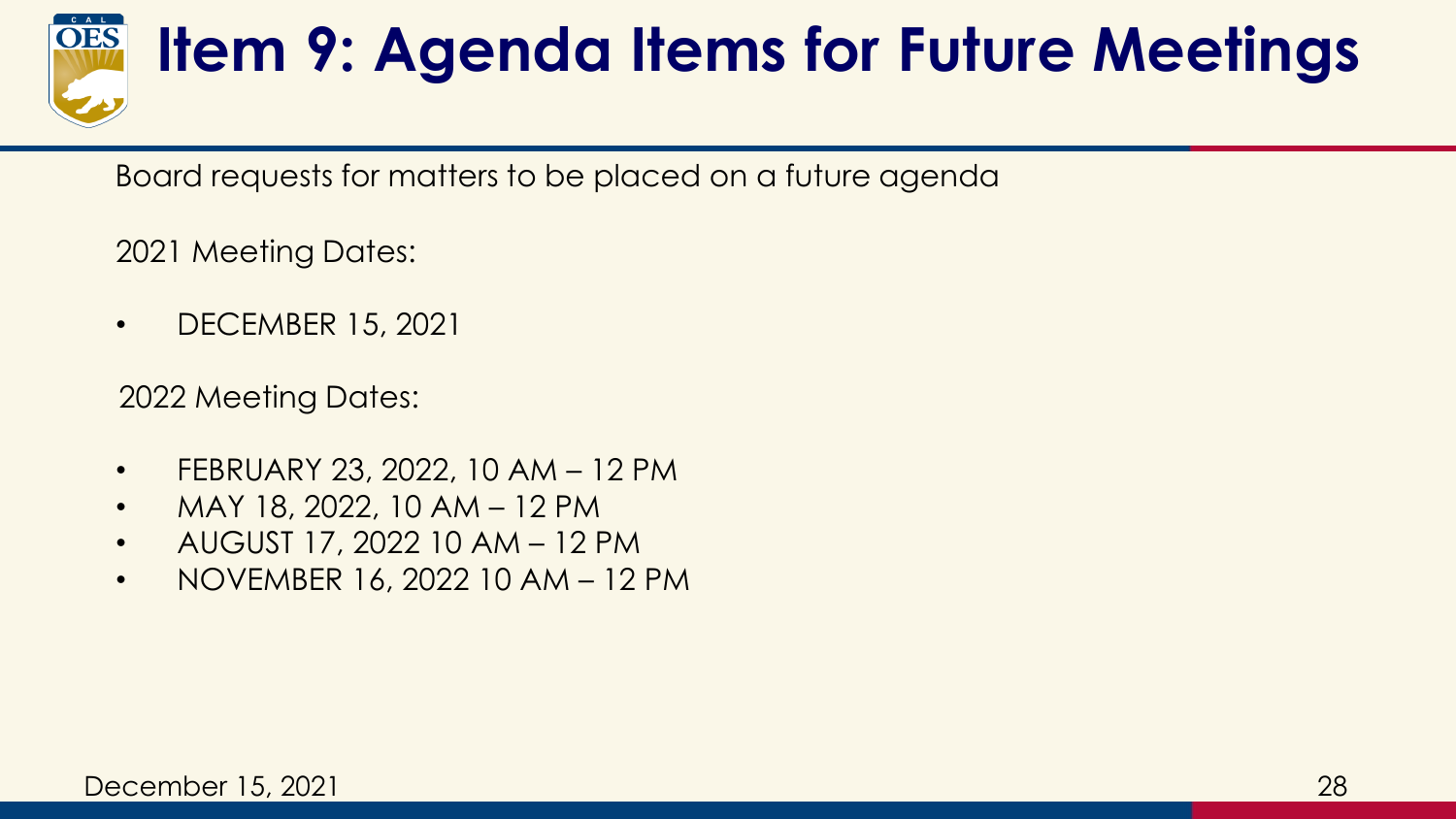

### **Item 9: Agenda Items for Future Meetings**

Board requests for matters to be placed on a future agenda

2021 Meeting Dates:

• DECEMBER 15, 2021

2022 Meeting Dates:

- FEBRUARY 23, 2022, 10 AM 12 PM
- MAY 18, 2022, 10 AM  $-$  12 PM
- AUGUST 17, 2022 10 AM 12 PM
- NOVEMBER 16, 2022 10 AM 12 PM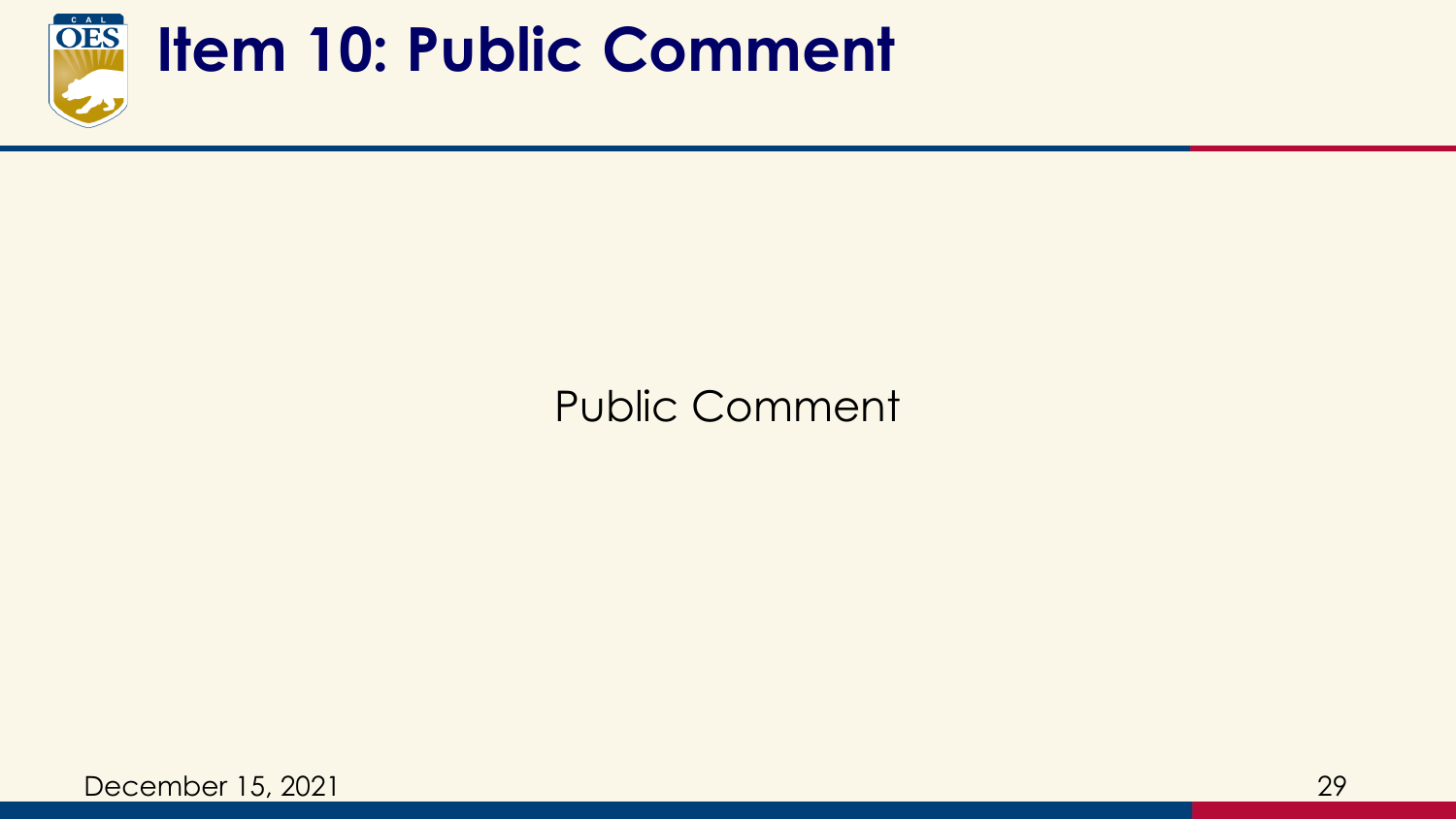

#### **Item 10: Public Comment**

#### Public Comment

December 15, 2021 29